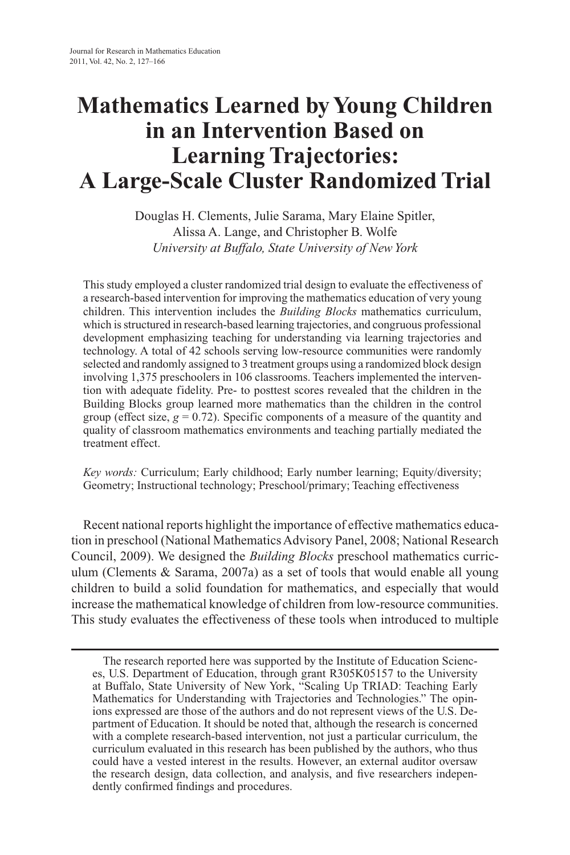# **Mathematics Learned by Young Children in an Intervention Based on Learning Trajectories: A Large-Scale Cluster Randomized Trial**

Douglas H. Clements, Julie Sarama, Mary Elaine Spitler, Alissa A. Lange, and Christopher B. Wolfe *University at Buffalo, State University of New York*

This study employed a cluster randomized trial design to evaluate the effectiveness of a research-based intervention for improving the mathematics education of very young children. This intervention includes the *Building Blocks* mathematics curriculum, which is structured in research-based learning trajectories, and congruous professional development emphasizing teaching for understanding via learning trajectories and technology. A total of 42 schools serving low-resource communities were randomly selected and randomly assigned to 3 treatment groups using a randomized block design involving 1,375 preschoolers in 106 classrooms. Teachers implemented the intervention with adequate fidelity. Pre- to posttest scores revealed that the children in the Building Blocks group learned more mathematics than the children in the control group (effect size,  $g = 0.72$ ). Specific components of a measure of the quantity and quality of classroom mathematics environments and teaching partially mediated the treatment effect.

*Key words:* Curriculum; Early childhood; Early number learning; Equity/diversity; Geometry; Instructional technology; Preschool/primary; Teaching effectiveness

Recent national reports highlight the importance of effective mathematics education in preschool (National Mathematics Advisory Panel, 2008; National Research Council, 2009). We designed the *Building Blocks* preschool mathematics curriculum (Clements & Sarama, 2007a) as a set of tools that would enable all young children to build a solid foundation for mathematics, and especially that would increase the mathematical knowledge of children from low-resource communities. This study evaluates the effectiveness of these tools when introduced to multiple

The research reported here was supported by the Institute of Education Sciences, U.S. Department of Education, through grant R305K05157 to the University at Buffalo, State University of New York, "Scaling Up TRIAD: Teaching Early Mathematics for Understanding with Trajectories and Technologies." The opinions expressed are those of the authors and do not represent views of the U.S. Department of Education. It should be noted that, although the research is concerned with a complete research-based intervention, not just a particular curriculum, the curriculum evaluated in this research has been published by the authors, who thus could have a vested interest in the results. However, an external auditor oversaw the research design, data collection, and analysis, and five researchers independently confirmed findings and procedures.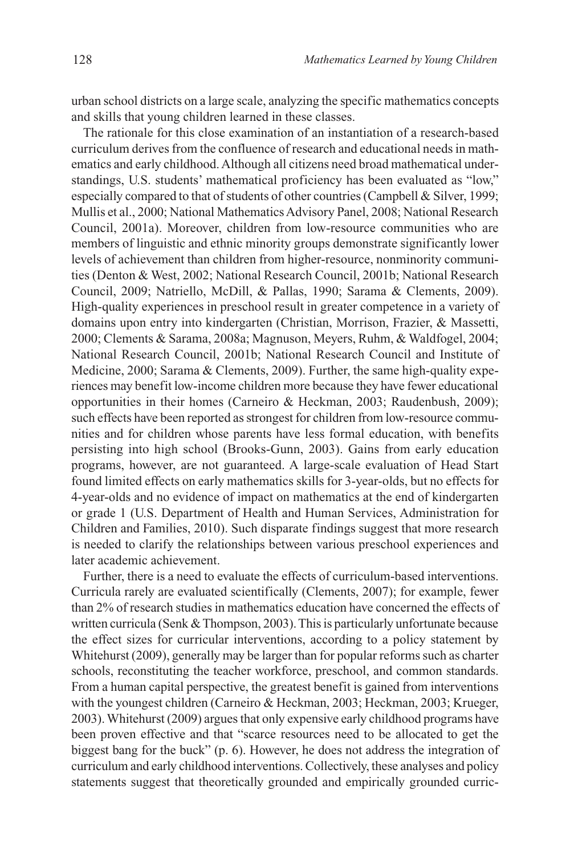urban school districts on a large scale, analyzing the specific mathematics concepts and skills that young children learned in these classes.

The rationale for this close examination of an instantiation of a research-based curriculum derives from the confluence of research and educational needs in mathematics and early childhood. Although all citizens need broad mathematical understandings, U.S. students' mathematical proficiency has been evaluated as "low," especially compared to that of students of other countries (Campbell & Silver, 1999; Mullis et al., 2000; National Mathematics Advisory Panel, 2008; National Research Council, 2001a). Moreover, children from low-resource communities who are members of linguistic and ethnic minority groups demonstrate significantly lower levels of achievement than children from higher-resource, nonminority communities (Denton & West, 2002; National Research Council, 2001b; National Research Council, 2009; Natriello, McDill, & Pallas, 1990; Sarama & Clements, 2009). High-quality experiences in preschool result in greater competence in a variety of domains upon entry into kindergarten (Christian, Morrison, Frazier, & Massetti, 2000; Clements & Sarama, 2008a; Magnuson, Meyers, Ruhm, & Waldfogel, 2004; National Research Council, 2001b; National Research Council and Institute of Medicine, 2000; Sarama & Clements, 2009). Further, the same high-quality experiences may benefit low-income children more because they have fewer educational opportunities in their homes (Carneiro & Heckman, 2003; Raudenbush, 2009); such effects have been reported as strongest for children from low-resource communities and for children whose parents have less formal education, with benefits persisting into high school (Brooks-Gunn, 2003). Gains from early education programs, however, are not guaranteed. A large-scale evaluation of Head Start found limited effects on early mathematics skills for 3-year-olds, but no effects for 4-year-olds and no evidence of impact on mathematics at the end of kindergarten or grade 1 (U.S. Department of Health and Human Services, Administration for Children and Families, 2010). Such disparate findings suggest that more research is needed to clarify the relationships between various preschool experiences and later academic achievement.

Further, there is a need to evaluate the effects of curriculum-based interventions. Curricula rarely are evaluated scientifically (Clements, 2007); for example, fewer than 2% of research studies in mathematics education have concerned the effects of written curricula (Senk & Thompson, 2003). This is particularly unfortunate because the effect sizes for curricular interventions, according to a policy statement by Whitehurst (2009), generally may be larger than for popular reforms such as charter schools, reconstituting the teacher workforce, preschool, and common standards. From a human capital perspective, the greatest benefit is gained from interventions with the youngest children (Carneiro & Heckman, 2003; Heckman, 2003; Krueger, 2003). Whitehurst (2009) argues that only expensive early childhood programs have been proven effective and that "scarce resources need to be allocated to get the biggest bang for the buck" (p. 6). However, he does not address the integration of curriculum and early childhood interventions. Collectively, these analyses and policy statements suggest that theoretically grounded and empirically grounded curric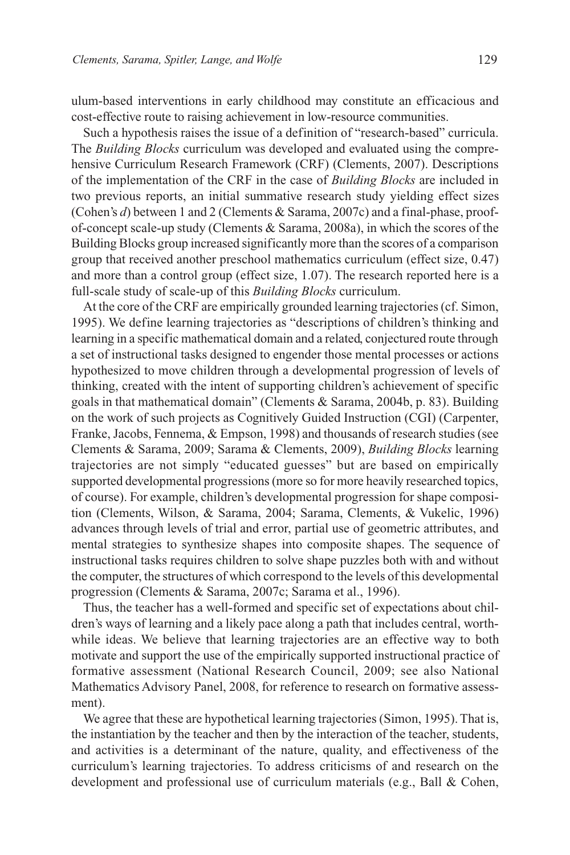ulum-based interventions in early childhood may constitute an efficacious and cost-effective route to raising achievement in low-resource communities.

Such a hypothesis raises the issue of a definition of "research-based" curricula. The *Building Blocks* curriculum was developed and evaluated using the comprehensive Curriculum Research Framework (CRF) (Clements, 2007). Descriptions of the implementation of the CRF in the case of *Building Blocks* are included in two previous reports, an initial summative research study yielding effect sizes (Cohen's *d*) between 1 and 2 (Clements & Sarama, 2007c) and a final-phase, proofof-concept scale-up study (Clements & Sarama, 2008a), in which the scores of the Building Blocks group increased significantly more than the scores of a comparison group that received another preschool mathematics curriculum (effect size, 0.47) and more than a control group (effect size, 1.07). The research reported here is a full-scale study of scale-up of this *Building Blocks* curriculum.

At the core of the CRF are empirically grounded learning trajectories (cf. Simon, 1995). We define learning trajectories as "descriptions of children's thinking and learning in a specific mathematical domain and a related, conjectured route through a set of instructional tasks designed to engender those mental processes or actions hypothesized to move children through a developmental progression of levels of thinking, created with the intent of supporting children's achievement of specific goals in that mathematical domain" (Clements & Sarama, 2004b, p. 83). Building on the work of such projects as Cognitively Guided Instruction (CGI) (Carpenter, Franke, Jacobs, Fennema, & Empson, 1998) and thousands of research studies (see Clements & Sarama, 2009; Sarama & Clements, 2009), *Building Blocks* learning trajectories are not simply "educated guesses" but are based on empirically supported developmental progressions (more so for more heavily researched topics, of course). For example, children's developmental progression for shape composition (Clements, Wilson, & Sarama, 2004; Sarama, Clements, & Vukelic, 1996) advances through levels of trial and error, partial use of geometric attributes, and mental strategies to synthesize shapes into composite shapes. The sequence of instructional tasks requires children to solve shape puzzles both with and without the computer, the structures of which correspond to the levels of this developmental progression (Clements & Sarama, 2007c; Sarama et al., 1996).

Thus, the teacher has a well-formed and specific set of expectations about children's ways of learning and a likely pace along a path that includes central, worthwhile ideas. We believe that learning trajectories are an effective way to both motivate and support the use of the empirically supported instructional practice of formative assessment (National Research Council, 2009; see also National Mathematics Advisory Panel, 2008, for reference to research on formative assessment).

We agree that these are hypothetical learning trajectories (Simon, 1995). That is, the instantiation by the teacher and then by the interaction of the teacher, students, and activities is a determinant of the nature, quality, and effectiveness of the curriculum's learning trajectories. To address criticisms of and research on the development and professional use of curriculum materials (e.g., Ball & Cohen,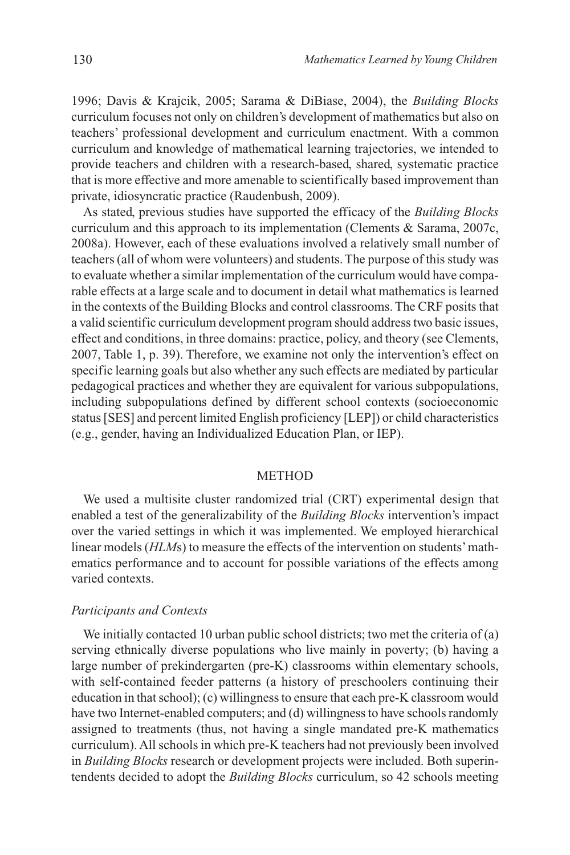1996; Davis & Krajcik, 2005; Sarama & DiBiase, 2004), the *Building Blocks* curriculum focuses not only on children's development of mathematics but also on teachers' professional development and curriculum enactment. With a common curriculum and knowledge of mathematical learning trajectories, we intended to provide teachers and children with a research-based, shared, systematic practice that is more effective and more amenable to scientifically based improvement than private, idiosyncratic practice (Raudenbush, 2009).

As stated, previous studies have supported the efficacy of the *Building Blocks* curriculum and this approach to its implementation (Clements & Sarama, 2007c, 2008a). However, each of these evaluations involved a relatively small number of teachers (all of whom were volunteers) and students. The purpose of this study was to evaluate whether a similar implementation of the curriculum would have comparable effects at a large scale and to document in detail what mathematics is learned in the contexts of the Building Blocks and control classrooms. The CRF posits that a valid scientific curriculum development program should address two basic issues, effect and conditions, in three domains: practice, policy, and theory (see Clements, 2007, Table 1, p. 39). Therefore, we examine not only the intervention's effect on specific learning goals but also whether any such effects are mediated by particular pedagogical practices and whether they are equivalent for various subpopulations, including subpopulations defined by different school contexts (socioeconomic status [SES] and percent limited English proficiency [LEP]) or child characteristics (e.g., gender, having an Individualized Education Plan, or IEP).

## METHOD

We used a multisite cluster randomized trial (CRT) experimental design that enabled a test of the generalizability of the *Building Blocks* intervention's impact over the varied settings in which it was implemented. We employed hierarchical linear models (*HLM*s) to measure the effects of the intervention on students' mathematics performance and to account for possible variations of the effects among varied contexts.

#### *Participants and Contexts*

We initially contacted 10 urban public school districts; two met the criteria of (a) serving ethnically diverse populations who live mainly in poverty; (b) having a large number of prekindergarten (pre-K) classrooms within elementary schools, with self-contained feeder patterns (a history of preschoolers continuing their education in that school); (c) willingness to ensure that each pre-K classroom would have two Internet-enabled computers; and (d) willingness to have schools randomly assigned to treatments (thus, not having a single mandated pre-K mathematics curriculum). All schools in which pre-K teachers had not previously been involved in *Building Blocks* research or development projects were included. Both superintendents decided to adopt the *Building Blocks* curriculum, so 42 schools meeting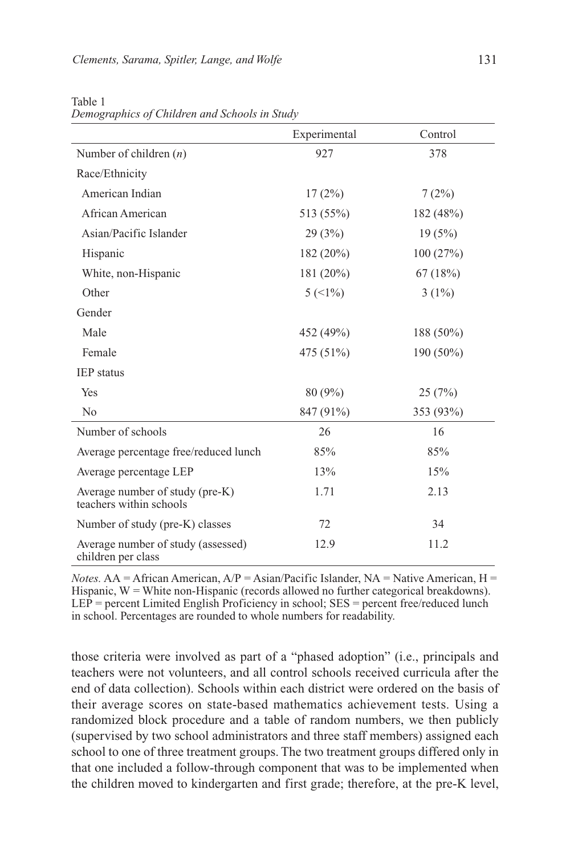|                                                            | Experimental                     | Control     |
|------------------------------------------------------------|----------------------------------|-------------|
| Number of children $(n)$                                   | 927                              | 378         |
| Race/Ethnicity                                             |                                  |             |
| American Indian                                            | 17(2%)                           | 7(2%)       |
| African American                                           | 513 (55%)                        | 182 (48%)   |
| Asian/Pacific Islander                                     | 29(3%)                           | 19(5%)      |
| Hispanic                                                   | $182(20\%)$                      | 100(27%)    |
| White, non-Hispanic                                        | 181 (20%)                        | 67(18%)     |
| Other                                                      | $5 \left( \frac{<1\%}{0 \right)$ | $3(1\%)$    |
| Gender                                                     |                                  |             |
| Male                                                       | 452 (49%)                        | $188(50\%)$ |
| Female                                                     | 475 (51%)                        | 190 (50%)   |
| <b>IEP</b> status                                          |                                  |             |
| Yes                                                        | $80(9\%)$                        | 25(7%)      |
| N <sub>0</sub>                                             | 847 (91%)                        | 353 (93%)   |
| Number of schools                                          | 26                               | 16          |
| Average percentage free/reduced lunch                      | 85%                              | 85%         |
| Average percentage LEP                                     | 13%                              | 15%         |
| Average number of study (pre-K)<br>teachers within schools | 1.71                             | 2.13        |
| Number of study (pre-K) classes                            | 72                               | 34          |
| Average number of study (assessed)<br>children per class   | 12.9                             | 11.2        |

Table 1 *Demographics of Children and Schools in Study*

*Notes.* AA = African American,  $A/P =$  Asian/Pacific Islander,  $NA =$  Native American,  $H =$ Hispanic,  $W =$  White non-Hispanic (records allowed no further categorical breakdowns).  $LEP$  = percent Limited English Proficiency in school;  $SES$  = percent free/reduced lunch in school. Percentages are rounded to whole numbers for readability.

those criteria were involved as part of a "phased adoption" (i.e., principals and teachers were not volunteers, and all control schools received curricula after the end of data collection). Schools within each district were ordered on the basis of their average scores on state-based mathematics achievement tests. Using a randomized block procedure and a table of random numbers, we then publicly (supervised by two school administrators and three staff members) assigned each school to one of three treatment groups. The two treatment groups differed only in that one included a follow-through component that was to be implemented when the children moved to kindergarten and first grade; therefore, at the pre-K level,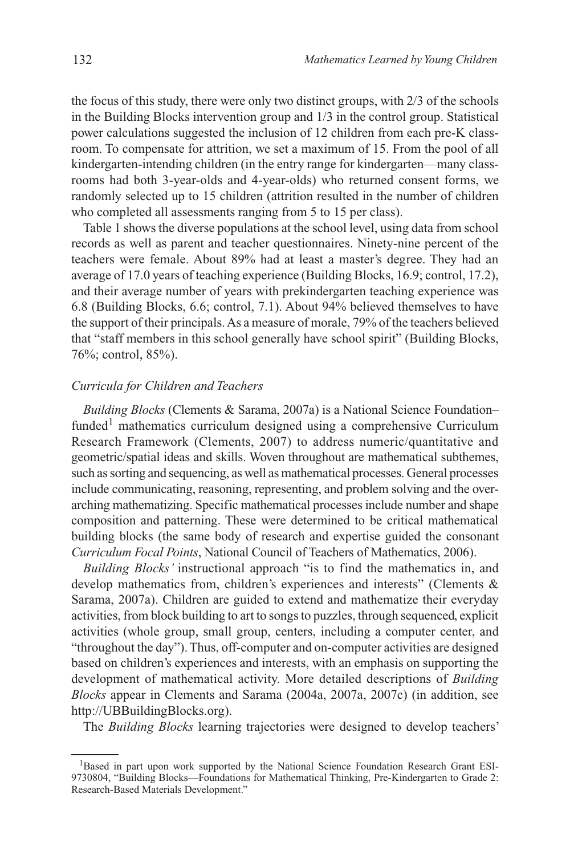the focus of this study, there were only two distinct groups, with 2/3 of the schools in the Building Blocks intervention group and 1/3 in the control group. Statistical power calculations suggested the inclusion of 12 children from each pre-K classroom. To compensate for attrition, we set a maximum of 15. From the pool of all kindergarten-intending children (in the entry range for kindergarten—many classrooms had both 3-year-olds and 4-year-olds) who returned consent forms, we randomly selected up to 15 children (attrition resulted in the number of children who completed all assessments ranging from 5 to 15 per class).

Table 1 shows the diverse populations at the school level, using data from school records as well as parent and teacher questionnaires. Ninety-nine percent of the teachers were female. About 89% had at least a master's degree. They had an average of 17.0 years of teaching experience (Building Blocks, 16.9; control, 17.2), and their average number of years with prekindergarten teaching experience was 6.8 (Building Blocks, 6.6; control, 7.1). About 94% believed themselves to have the support of their principals. As a measure of morale, 79% of the teachers believed that "staff members in this school generally have school spirit" (Building Blocks, 76%; control, 85%).

# *Curricula for Children and Teachers*

*Building Blocks* (Clements & Sarama, 2007a) is a National Science Foundation– funded<sup>1</sup> mathematics curriculum designed using a comprehensive Curriculum Research Framework (Clements, 2007) to address numeric/quantitative and geometric/spatial ideas and skills. Woven throughout are mathematical subthemes, such as sorting and sequencing, as well as mathematical processes. General processes include communicating, reasoning, representing, and problem solving and the overarching mathematizing. Specific mathematical processes include number and shape composition and patterning. These were determined to be critical mathematical building blocks (the same body of research and expertise guided the consonant *Curriculum Focal Points*, National Council of Teachers of Mathematics, 2006).

*Building Blocks'* instructional approach "is to find the mathematics in, and develop mathematics from, children's experiences and interests" (Clements & Sarama, 2007a). Children are guided to extend and mathematize their everyday activities, from block building to art to songs to puzzles, through sequenced, explicit activities (whole group, small group, centers, including a computer center, and "throughout the day"). Thus, off-computer and on-computer activities are designed based on children's experiences and interests, with an emphasis on supporting the development of mathematical activity. More detailed descriptions of *Building Blocks* appear in Clements and Sarama (2004a, 2007a, 2007c) (in addition, see http://UBBuildingBlocks.org).

The *Building Blocks* learning trajectories were designed to develop teachers'

<sup>&</sup>lt;sup>1</sup>Based in part upon work supported by the National Science Foundation Research Grant ESI-9730804, "Building Blocks—Foundations for Mathematical Thinking, Pre-Kindergarten to Grade 2: Research-Based Materials Development."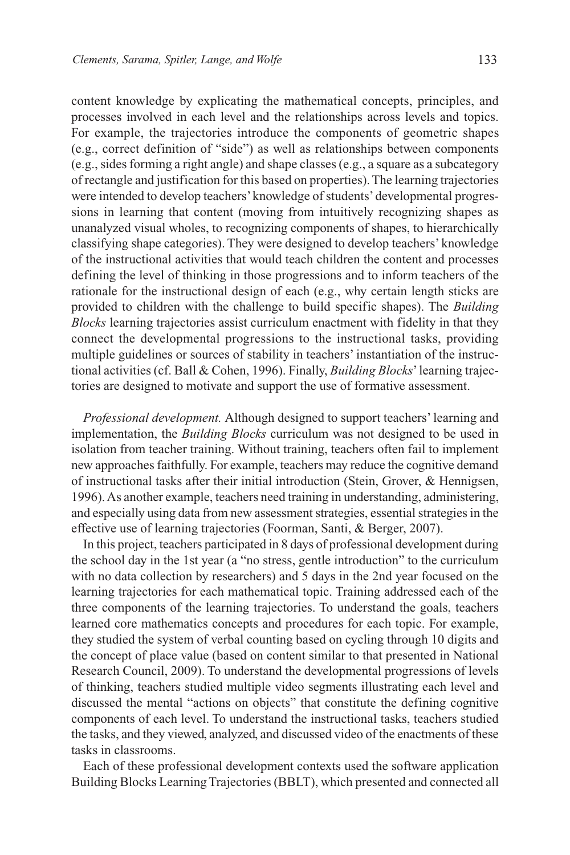content knowledge by explicating the mathematical concepts, principles, and processes involved in each level and the relationships across levels and topics. For example, the trajectories introduce the components of geometric shapes (e.g., correct definition of "side") as well as relationships between components (e.g., sides forming a right angle) and shape classes (e.g., a square as a subcategory of rectangle and justification for this based on properties). The learning trajectories were intended to develop teachers' knowledge of students' developmental progressions in learning that content (moving from intuitively recognizing shapes as unanalyzed visual wholes, to recognizing components of shapes, to hierarchically classifying shape categories). They were designed to develop teachers' knowledge of the instructional activities that would teach children the content and processes defining the level of thinking in those progressions and to inform teachers of the rationale for the instructional design of each (e.g., why certain length sticks are provided to children with the challenge to build specific shapes). The *Building Blocks* learning trajectories assist curriculum enactment with fidelity in that they connect the developmental progressions to the instructional tasks, providing multiple guidelines or sources of stability in teachers' instantiation of the instructional activities (cf. Ball & Cohen, 1996). Finally, *Building Blocks*' learning trajectories are designed to motivate and support the use of formative assessment.

*Professional development.* Although designed to support teachers' learning and implementation, the *Building Blocks* curriculum was not designed to be used in isolation from teacher training. Without training, teachers often fail to implement new approaches faithfully. For example, teachers may reduce the cognitive demand of instructional tasks after their initial introduction (Stein, Grover, & Hennigsen, 1996). As another example, teachers need training in understanding, administering, and especially using data from new assessment strategies, essential strategies in the effective use of learning trajectories (Foorman, Santi, & Berger, 2007).

In this project, teachers participated in 8 days of professional development during the school day in the 1st year (a "no stress, gentle introduction" to the curriculum with no data collection by researchers) and 5 days in the 2nd year focused on the learning trajectories for each mathematical topic. Training addressed each of the three components of the learning trajectories. To understand the goals, teachers learned core mathematics concepts and procedures for each topic. For example, they studied the system of verbal counting based on cycling through 10 digits and the concept of place value (based on content similar to that presented in National Research Council, 2009). To understand the developmental progressions of levels of thinking, teachers studied multiple video segments illustrating each level and discussed the mental "actions on objects" that constitute the defining cognitive components of each level. To understand the instructional tasks, teachers studied the tasks, and they viewed, analyzed, and discussed video of the enactments of these tasks in classrooms.

Each of these professional development contexts used the software application Building Blocks Learning Trajectories (BBLT), which presented and connected all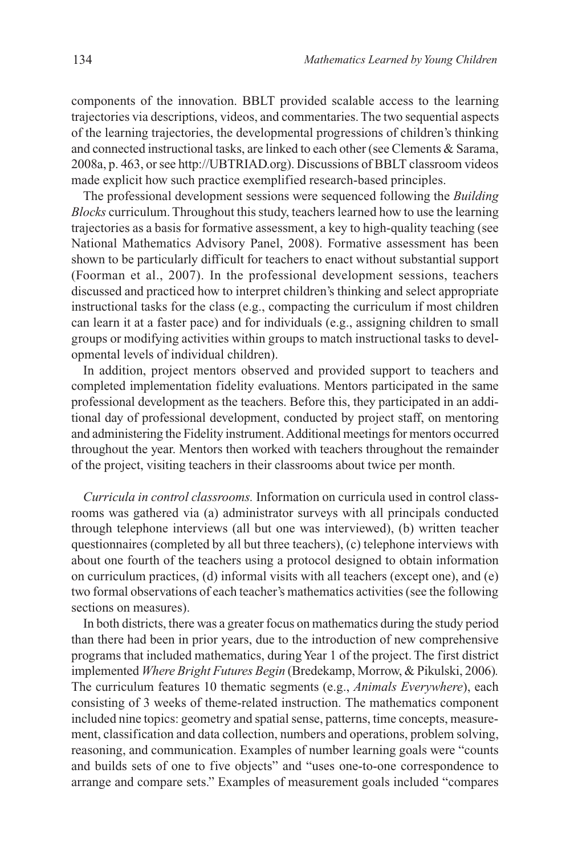components of the innovation. BBLT provided scalable access to the learning trajectories via descriptions, videos, and commentaries. The two sequential aspects of the learning trajectories, the developmental progressions of children's thinking and connected instructional tasks, are linked to each other (see Clements & Sarama, 2008a, p. 463, or see http://UBTRIAD.org). Discussions of BBLT classroom videos made explicit how such practice exemplified research-based principles.

The professional development sessions were sequenced following the *Building Blocks* curriculum. Throughout this study, teachers learned how to use the learning trajectories as a basis for formative assessment, a key to high-quality teaching (see National Mathematics Advisory Panel, 2008). Formative assessment has been shown to be particularly difficult for teachers to enact without substantial support (Foorman et al., 2007). In the professional development sessions, teachers discussed and practiced how to interpret children's thinking and select appropriate instructional tasks for the class (e.g., compacting the curriculum if most children can learn it at a faster pace) and for individuals (e.g., assigning children to small groups or modifying activities within groups to match instructional tasks to developmental levels of individual children).

In addition, project mentors observed and provided support to teachers and completed implementation fidelity evaluations. Mentors participated in the same professional development as the teachers. Before this, they participated in an additional day of professional development, conducted by project staff, on mentoring and administering the Fidelity instrument. Additional meetings for mentors occurred throughout the year. Mentors then worked with teachers throughout the remainder of the project, visiting teachers in their classrooms about twice per month.

*Curricula in control classrooms.* Information on curricula used in control classrooms was gathered via (a) administrator surveys with all principals conducted through telephone interviews (all but one was interviewed), (b) written teacher questionnaires (completed by all but three teachers), (c) telephone interviews with about one fourth of the teachers using a protocol designed to obtain information on curriculum practices, (d) informal visits with all teachers (except one), and (e) two formal observations of each teacher's mathematics activities (see the following sections on measures).

In both districts, there was a greater focus on mathematics during the study period than there had been in prior years, due to the introduction of new comprehensive programs that included mathematics, during Year 1 of the project. The first district implemented *Where Bright Futures Begin* (Bredekamp, Morrow, & Pikulski, 2006)*.* The curriculum features 10 thematic segments (e.g., *Animals Everywhere*), each consisting of 3 weeks of theme-related instruction. The mathematics component included nine topics: geometry and spatial sense, patterns, time concepts, measurement, classification and data collection, numbers and operations, problem solving, reasoning, and communication. Examples of number learning goals were "counts and builds sets of one to five objects" and "uses one-to-one correspondence to arrange and compare sets." Examples of measurement goals included "compares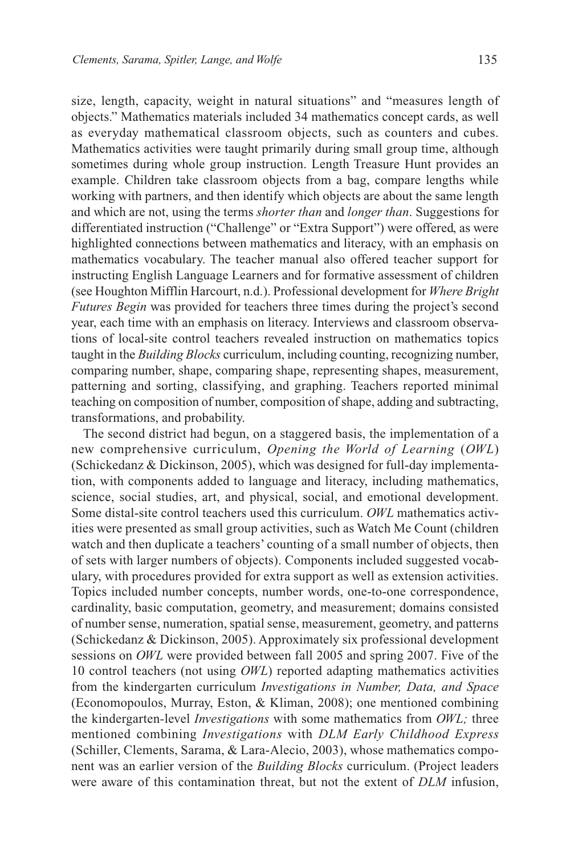size, length, capacity, weight in natural situations" and "measures length of objects." Mathematics materials included 34 mathematics concept cards, as well as everyday mathematical classroom objects, such as counters and cubes. Mathematics activities were taught primarily during small group time, although sometimes during whole group instruction. Length Treasure Hunt provides an example. Children take classroom objects from a bag, compare lengths while working with partners, and then identify which objects are about the same length and which are not, using the terms *shorter than* and *longer than*. Suggestions for differentiated instruction ("Challenge" or "Extra Support") were offered, as were highlighted connections between mathematics and literacy, with an emphasis on mathematics vocabulary. The teacher manual also offered teacher support for instructing English Language Learners and for formative assessment of children (see Houghton Mifflin Harcourt, n.d.). Professional development for *Where Bright Futures Begin* was provided for teachers three times during the project's second year, each time with an emphasis on literacy. Interviews and classroom observations of local-site control teachers revealed instruction on mathematics topics taught in the *Building Blocks* curriculum, including counting, recognizing number, comparing number, shape, comparing shape, representing shapes, measurement, patterning and sorting, classifying, and graphing. Teachers reported minimal teaching on composition of number, composition of shape, adding and subtracting, transformations, and probability.

The second district had begun, on a staggered basis, the implementation of a new comprehensive curriculum, *Opening the World of Learning* (*OWL*) (Schickedanz & Dickinson, 2005), which was designed for full-day implementation, with components added to language and literacy, including mathematics, science, social studies, art, and physical, social, and emotional development. Some distal-site control teachers used this curriculum. *OWL* mathematics activities were presented as small group activities, such as Watch Me Count (children watch and then duplicate a teachers' counting of a small number of objects, then of sets with larger numbers of objects). Components included suggested vocabulary, with procedures provided for extra support as well as extension activities. Topics included number concepts, number words, one-to-one correspondence, cardinality, basic computation, geometry, and measurement; domains consisted of number sense, numeration, spatial sense, measurement, geometry, and patterns (Schickedanz & Dickinson, 2005). Approximately six professional development sessions on *OWL* were provided between fall 2005 and spring 2007. Five of the 10 control teachers (not using *OWL*) reported adapting mathematics activities from the kindergarten curriculum *Investigations in Number, Data, and Space*  (Economopoulos, Murray, Eston,  $& Kliman, 2008$ ); one mentioned combining the kindergarten*-*level *Investigations* with some mathematics from *OWL;* three mentioned combining *Investigations* with *DLM Early Childhood Express*  (Schiller, Clements, Sarama, & Lara-Alecio, 2003), whose mathematics component was an earlier version of the *Building Blocks* curriculum. (Project leaders were aware of this contamination threat, but not the extent of *DLM* infusion,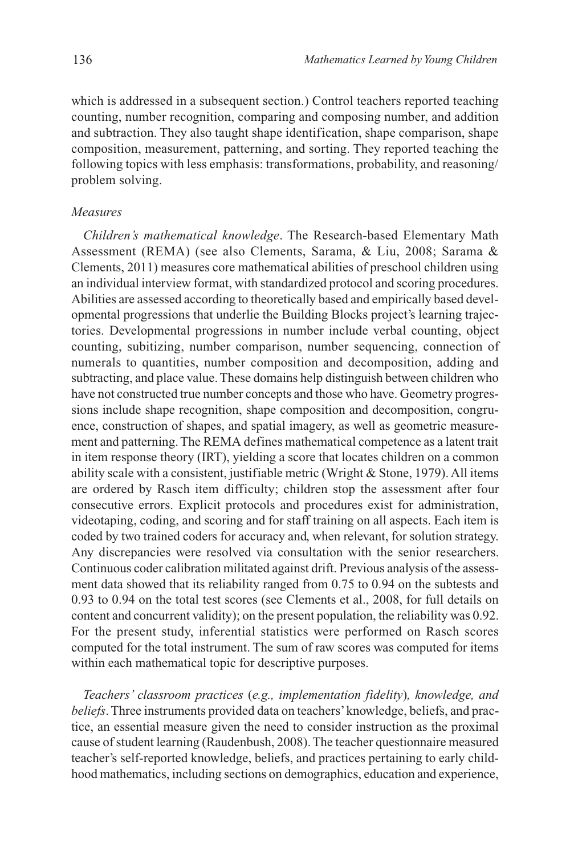which is addressed in a subsequent section.) Control teachers reported teaching counting, number recognition, comparing and composing number, and addition and subtraction. They also taught shape identification, shape comparison, shape composition, measurement, patterning, and sorting. They reported teaching the following topics with less emphasis: transformations, probability, and reasoning/ problem solving.

# *Measures*

*Children's mathematical knowledge*. The Research-based Elementary Math Assessment (REMA) (see also Clements, Sarama, & Liu, 2008; Sarama & Clements, 2011) measures core mathematical abilities of preschool children using an individual interview format, with standardized protocol and scoring procedures. Abilities are assessed according to theoretically based and empirically based developmental progressions that underlie the Building Blocks project's learning trajectories. Developmental progressions in number include verbal counting, object counting, subitizing, number comparison, number sequencing, connection of numerals to quantities, number composition and decomposition, adding and subtracting, and place value. These domains help distinguish between children who have not constructed true number concepts and those who have. Geometry progressions include shape recognition, shape composition and decomposition, congruence, construction of shapes, and spatial imagery, as well as geometric measurement and patterning. The REMA defines mathematical competence as a latent trait in item response theory (IRT), yielding a score that locates children on a common ability scale with a consistent, justifiable metric (Wright & Stone, 1979). All items are ordered by Rasch item difficulty; children stop the assessment after four consecutive errors. Explicit protocols and procedures exist for administration, videotaping, coding, and scoring and for staff training on all aspects. Each item is coded by two trained coders for accuracy and, when relevant, for solution strategy. Any discrepancies were resolved via consultation with the senior researchers. Continuous coder calibration militated against drift. Previous analysis of the assessment data showed that its reliability ranged from 0.75 to 0.94 on the subtests and 0.93 to 0.94 on the total test scores (see Clements et al., 2008, for full details on content and concurrent validity); on the present population, the reliability was 0.92. For the present study, inferential statistics were performed on Rasch scores computed for the total instrument. The sum of raw scores was computed for items within each mathematical topic for descriptive purposes.

*Teachers' classroom practices* (*e.g., implementation fidelity*)*, knowledge, and beliefs*. Three instruments provided data on teachers' knowledge, beliefs, and practice, an essential measure given the need to consider instruction as the proximal cause of student learning (Raudenbush, 2008). The teacher questionnaire measured teacher's self-reported knowledge, beliefs, and practices pertaining to early childhood mathematics, including sections on demographics, education and experience,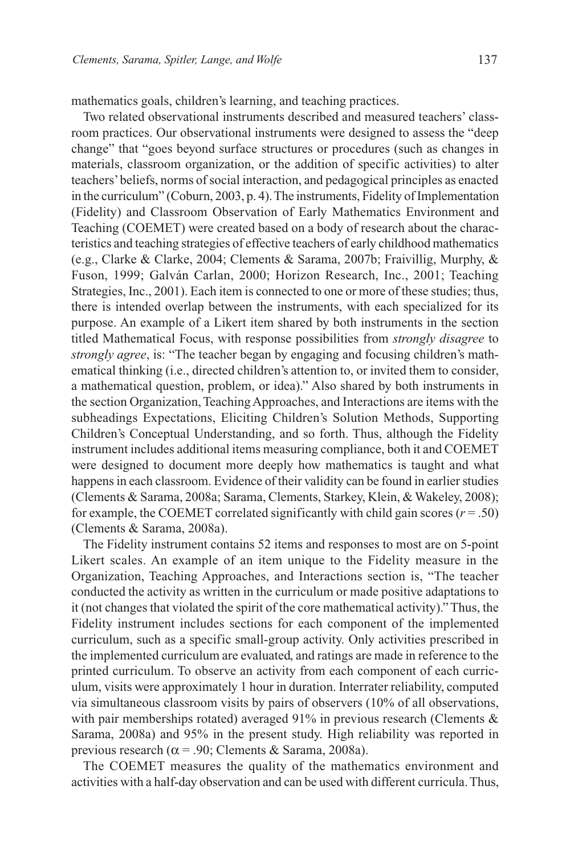mathematics goals, children's learning, and teaching practices.

Two related observational instruments described and measured teachers' classroom practices. Our observational instruments were designed to assess the "deep change" that "goes beyond surface structures or procedures (such as changes in materials, classroom organization, or the addition of specific activities) to alter teachers' beliefs, norms of social interaction, and pedagogical principles as enacted in the curriculum" (Coburn, 2003, p. 4). The instruments, Fidelity of Implementation (Fidelity) and Classroom Observation of Early Mathematics Environment and Teaching (COEMET) were created based on a body of research about the characteristics and teaching strategies of effective teachers of early childhood mathematics (e.g., Clarke & Clarke, 2004; Clements & Sarama, 2007b; Fraivillig, Murphy, & Fuson, 1999; Galván Carlan, 2000; Horizon Research, Inc., 2001; Teaching Strategies, Inc., 2001). Each item is connected to one or more of these studies; thus, there is intended overlap between the instruments, with each specialized for its purpose. An example of a Likert item shared by both instruments in the section titled Mathematical Focus, with response possibilities from *strongly disagree* to *strongly agree*, is: "The teacher began by engaging and focusing children's mathematical thinking (i.e., directed children's attention to, or invited them to consider, a mathematical question, problem, or idea)." Also shared by both instruments in the section Organization, Teaching Approaches, and Interactions are items with the subheadings Expectations, Eliciting Children's Solution Methods, Supporting Children's Conceptual Understanding, and so forth. Thus, although the Fidelity instrument includes additional items measuring compliance, both it and COEMET were designed to document more deeply how mathematics is taught and what happens in each classroom. Evidence of their validity can be found in earlier studies (Clements & Sarama, 2008a; Sarama, Clements, Starkey, Klein, & Wakeley, 2008); for example, the COEMET correlated significantly with child gain scores ( $r = .50$ ) (Clements & Sarama, 2008a).

The Fidelity instrument contains 52 items and responses to most are on 5-point Likert scales. An example of an item unique to the Fidelity measure in the Organization, Teaching Approaches, and Interactions section is, "The teacher conducted the activity as written in the curriculum or made positive adaptations to it (not changes that violated the spirit of the core mathematical activity)." Thus, the Fidelity instrument includes sections for each component of the implemented curriculum, such as a specific small-group activity. Only activities prescribed in the implemented curriculum are evaluated, and ratings are made in reference to the printed curriculum. To observe an activity from each component of each curriculum, visits were approximately 1 hour in duration. Interrater reliability, computed via simultaneous classroom visits by pairs of observers (10% of all observations, with pair memberships rotated) averaged 91% in previous research (Clements & Sarama, 2008a) and 95% in the present study. High reliability was reported in previous research ( $\alpha$  = .90; Clements & Sarama, 2008a).

The COEMET measures the quality of the mathematics environment and activities with a half-day observation and can be used with different curricula. Thus,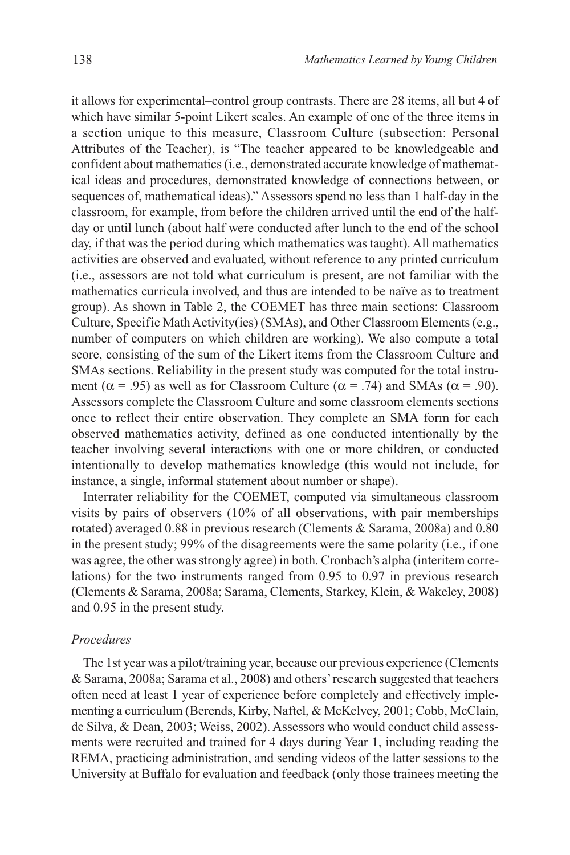it allows for experimental–control group contrasts. There are 28 items, all but 4 of which have similar 5-point Likert scales. An example of one of the three items in a section unique to this measure, Classroom Culture (subsection: Personal Attributes of the Teacher), is "The teacher appeared to be knowledgeable and confident about mathematics (i.e., demonstrated accurate knowledge of mathematical ideas and procedures, demonstrated knowledge of connections between, or sequences of, mathematical ideas)." Assessors spend no less than 1 half-day in the classroom, for example, from before the children arrived until the end of the halfday or until lunch (about half were conducted after lunch to the end of the school day, if that was the period during which mathematics was taught). All mathematics activities are observed and evaluated, without reference to any printed curriculum (i.e., assessors are not told what curriculum is present, are not familiar with the mathematics curricula involved, and thus are intended to be naïve as to treatment group). As shown in Table 2, the COEMET has three main sections: Classroom Culture, Specific Math Activity(ies) (SMAs), and Other Classroom Elements (e.g., number of computers on which children are working). We also compute a total score, consisting of the sum of the Likert items from the Classroom Culture and SMAs sections. Reliability in the present study was computed for the total instrument ( $\alpha$  = .95) as well as for Classroom Culture ( $\alpha$  = .74) and SMAs ( $\alpha$  = .90). Assessors complete the Classroom Culture and some classroom elements sections once to reflect their entire observation. They complete an SMA form for each observed mathematics activity, defined as one conducted intentionally by the teacher involving several interactions with one or more children, or conducted intentionally to develop mathematics knowledge (this would not include, for instance, a single, informal statement about number or shape).

Interrater reliability for the COEMET, computed via simultaneous classroom visits by pairs of observers (10% of all observations, with pair memberships rotated) averaged 0.88 in previous research (Clements & Sarama, 2008a) and 0.80 in the present study; 99% of the disagreements were the same polarity (i.e., if one was agree, the other was strongly agree) in both. Cronbach's alpha (interitem correlations) for the two instruments ranged from 0.95 to 0.97 in previous research (Clements & Sarama, 2008a; Sarama, Clements, Starkey, Klein, & Wakeley, 2008) and 0.95 in the present study.

# *Procedures*

The 1st year was a pilot/training year, because our previous experience (Clements & Sarama, 2008a; Sarama et al., 2008) and others' research suggested that teachers often need at least 1 year of experience before completely and effectively implementing a curriculum (Berends, Kirby, Naftel, & McKelvey, 2001; Cobb, McClain, de Silva, & Dean, 2003; Weiss, 2002). Assessors who would conduct child assessments were recruited and trained for 4 days during Year 1, including reading the REMA, practicing administration, and sending videos of the latter sessions to the University at Buffalo for evaluation and feedback (only those trainees meeting the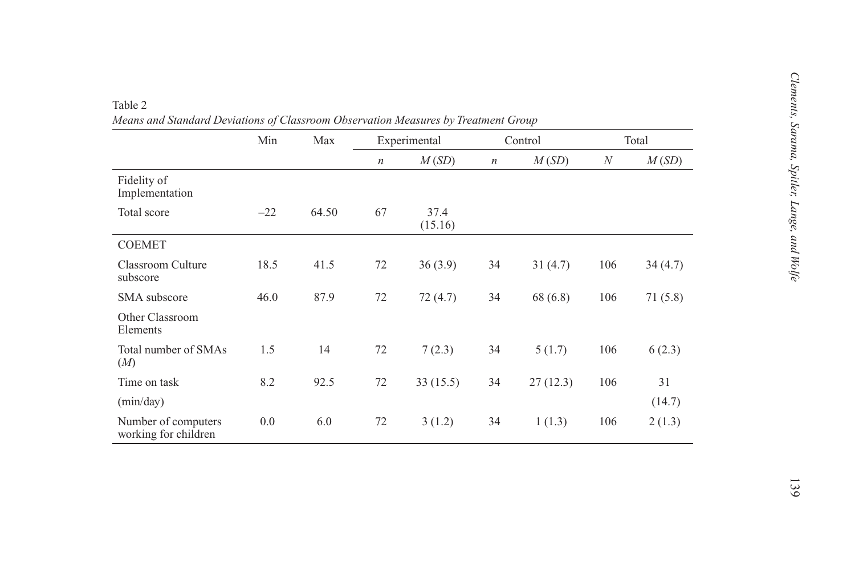# Table 2

*Means and Standard Deviations of Classroom Observation Measures by Treatment Group* 

|                                             | Min   | Max   | Experimental     |                 |                  | Control  | Total            |          |
|---------------------------------------------|-------|-------|------------------|-----------------|------------------|----------|------------------|----------|
|                                             |       |       | $\boldsymbol{n}$ | M(SD)           | $\boldsymbol{n}$ | M(SD)    | $\boldsymbol{N}$ | M(SD)    |
| Fidelity of<br>Implementation               |       |       |                  |                 |                  |          |                  |          |
| Total score                                 | $-22$ | 64.50 | 67               | 37.4<br>(15.16) |                  |          |                  |          |
| <b>COEMET</b>                               |       |       |                  |                 |                  |          |                  |          |
| Classroom Culture<br>subscore               | 18.5  | 41.5  | 72               | 36(3.9)         | 34               | 31(4.7)  | 106              | 34 (4.7) |
| SMA subscore                                | 46.0  | 87.9  | 72               | 72(4.7)         | 34               | 68(6.8)  | 106              | 71(5.8)  |
| Other Classroom<br>Elements                 |       |       |                  |                 |                  |          |                  |          |
| Total number of SMAs<br>(M)                 | 1.5   | 14    | 72               | 7(2.3)          | 34               | 5(1.7)   | 106              | 6(2.3)   |
| Time on task                                | 8.2   | 92.5  | 72               | 33(15.5)        | 34               | 27(12.3) | 106              | 31       |
| (min/day)                                   |       |       |                  |                 |                  |          |                  | (14.7)   |
| Number of computers<br>working for children | 0.0   | 6.0   | 72               | 3(1.2)          | 34               | 1(1.3)   | 106              | 2(1.3)   |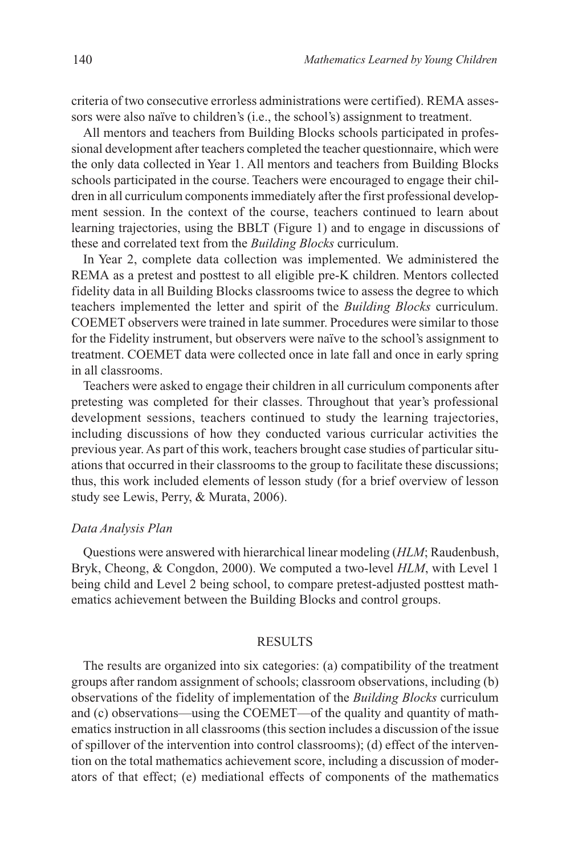criteria of two consecutive errorless administrations were certified). REMA assessors were also naïve to children's (i.e., the school's) assignment to treatment.

All mentors and teachers from Building Blocks schools participated in professional development after teachers completed the teacher questionnaire, which were the only data collected in Year 1. All mentors and teachers from Building Blocks schools participated in the course. Teachers were encouraged to engage their children in all curriculum components immediately after the first professional development session. In the context of the course, teachers continued to learn about learning trajectories, using the BBLT (Figure 1) and to engage in discussions of these and correlated text from the *Building Blocks* curriculum.

In Year 2, complete data collection was implemented. We administered the REMA as a pretest and posttest to all eligible pre-K children. Mentors collected fidelity data in all Building Blocks classrooms twice to assess the degree to which teachers implemented the letter and spirit of the *Building Blocks* curriculum. COEMET observers were trained in late summer. Procedures were similar to those for the Fidelity instrument, but observers were naïve to the school's assignment to treatment. COEMET data were collected once in late fall and once in early spring in all classrooms.

Teachers were asked to engage their children in all curriculum components after pretesting was completed for their classes. Throughout that year's professional development sessions, teachers continued to study the learning trajectories, including discussions of how they conducted various curricular activities the previous year. As part of this work, teachers brought case studies of particular situations that occurred in their classrooms to the group to facilitate these discussions; thus, this work included elements of lesson study (for a brief overview of lesson study see Lewis, Perry, & Murata, 2006).

#### *Data Analysis Plan*

Questions were answered with hierarchical linear modeling (*HLM*; Raudenbush, Bryk, Cheong, & Congdon, 2000). We computed a two-level *HLM*, with Level 1 being child and Level 2 being school, to compare pretest-adjusted posttest mathematics achievement between the Building Blocks and control groups.

## RESULTS

The results are organized into six categories: (a) compatibility of the treatment groups after random assignment of schools; classroom observations, including (b) observations of the fidelity of implementation of the *Building Blocks* curriculum and (c) observations—using the COEMET—of the quality and quantity of mathematics instruction in all classrooms (this section includes a discussion of the issue of spillover of the intervention into control classrooms); (d) effect of the intervention on the total mathematics achievement score, including a discussion of moderators of that effect; (e) mediational effects of components of the mathematics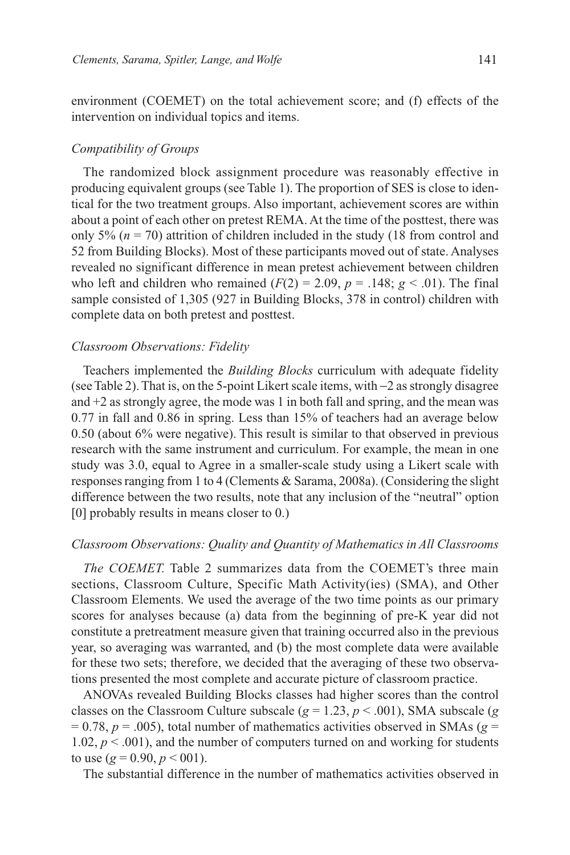environment (COEMET) on the total achievement score; and (f) effects of the intervention on individual topics and items.

#### *Compatibility of Groups*

The randomized block assignment procedure was reasonably effective in producing equivalent groups (see Table 1). The proportion of SES is close to identical for the two treatment groups. Also important, achievement scores are within about a point of each other on pretest REMA. At the time of the posttest, there was only 5% ( $n = 70$ ) attrition of children included in the study (18 from control and 52 from Building Blocks). Most of these participants moved out of state. Analyses revealed no significant difference in mean pretest achievement between children who left and children who remained  $(F(2) = 2.09, p = .148; g < .01)$ . The final sample consisted of 1,305 (927 in Building Blocks, 378 in control) children with complete data on both pretest and posttest.

# *Classroom Observations: Fidelity*

Teachers implemented the *Building Blocks* curriculum with adequate fidelity (see Table 2). That is, on the 5-point Likert scale items, with  $-2$  as strongly disagree and  $+2$  as strongly agree, the mode was 1 in both fall and spring, and the mean was 0.77 in fall and 0.86 in spring. Less than 15% of teachers had an average below 0.50 (about 6% were negative). This result is similar to that observed in previous research with the same instrument and curriculum. For example, the mean in one study was 3.0, equal to Agree in a smaller-scale study using a Likert scale with responses ranging from 1 to 4 (Clements & Sarama, 2008a). (Considering the slight difference between the two results, note that any inclusion of the "neutral" option [0] probably results in means closer to 0.)

#### *Classroom Observations: Quality and Quantity of Mathematics in All Classrooms*

*The COEMET.* Table 2 summarizes data from the COEMET's three main sections, Classroom Culture, Specific Math Activity(ies) (SMA), and Other Classroom Elements. We used the average of the two time points as our primary scores for analyses because (a) data from the beginning of pre-K year did not constitute a pretreatment measure given that training occurred also in the previous year, so averaging was warranted, and (b) the most complete data were available for these two sets; therefore, we decided that the averaging of these two observations presented the most complete and accurate picture of classroom practice.

ANOVAs revealed Building Blocks classes had higher scores than the control classes on the Classroom Culture subscale ( $g = 1.23$ ,  $p < .001$ ), SMA subscale ( $g$  $= 0.78$ ,  $p = .005$ ), total number of mathematics activities observed in SMAs ( $q =$ 1.02,  $p < .001$ ), and the number of computers turned on and working for students to use  $(q = 0.90, p \le 001)$ .

The substantial difference in the number of mathematics activities observed in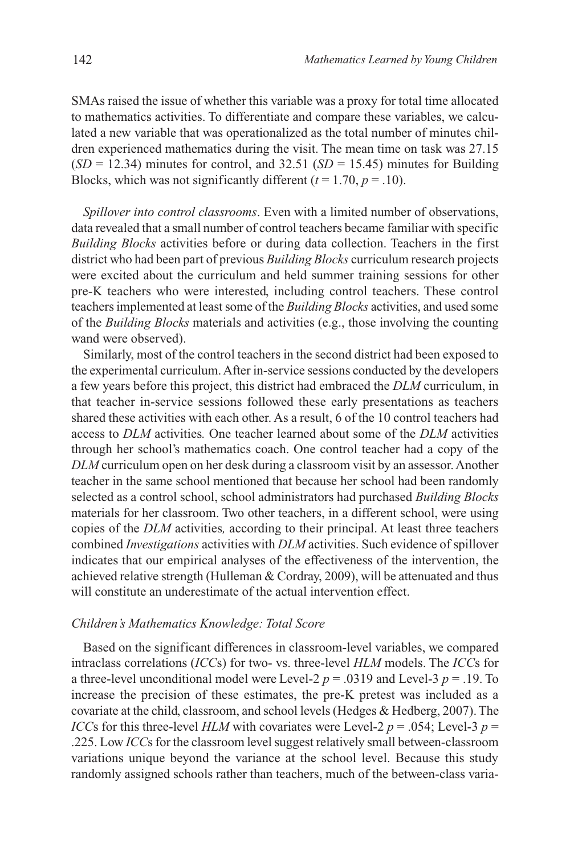SMAs raised the issue of whether this variable was a proxy for total time allocated to mathematics activities. To differentiate and compare these variables, we calculated a new variable that was operationalized as the total number of minutes children experienced mathematics during the visit. The mean time on task was 27.15  $(SD = 12.34)$  minutes for control, and 32.51  $(SD = 15.45)$  minutes for Building Blocks, which was not significantly different  $(t = 1.70, p = .10)$ .

*Spillover into control classrooms*. Even with a limited number of observations, data revealed that a small number of control teachers became familiar with specific *Building Blocks* activities before or during data collection. Teachers in the first district who had been part of previous *Building Blocks* curriculum research projects were excited about the curriculum and held summer training sessions for other pre-K teachers who were interested, including control teachers. These control teachers implemented at least some of the *Building Blocks* activities, and used some of the *Building Blocks* materials and activities (e.g., those involving the counting wand were observed).

Similarly, most of the control teachers in the second district had been exposed to the experimental curriculum. After in-service sessions conducted by the developers a few years before this project, this district had embraced the *DLM* curriculum, in that teacher in-service sessions followed these early presentations as teachers shared these activities with each other. As a result, 6 of the 10 control teachers had access to *DLM* activities*.* One teacher learned about some of the *DLM* activities through her school's mathematics coach. One control teacher had a copy of the *DLM* curriculum open on her desk during a classroom visit by an assessor. Another teacher in the same school mentioned that because her school had been randomly selected as a control school, school administrators had purchased *Building Blocks*  materials for her classroom. Two other teachers, in a different school, were using copies of the *DLM* activities*,* according to their principal. At least three teachers combined *Investigations* activities with *DLM* activities. Such evidence of spillover indicates that our empirical analyses of the effectiveness of the intervention, the achieved relative strength (Hulleman & Cordray, 2009), will be attenuated and thus will constitute an underestimate of the actual intervention effect.

# *Children's Mathematics Knowledge: Total Score*

Based on the significant differences in classroom-level variables, we compared intraclass correlations (*ICC*s) for two- vs. three-level *HLM* models. The *ICC*s for a three-level unconditional model were Level-2  $p = .0319$  and Level-3  $p = .19$ . To increase the precision of these estimates, the pre-K pretest was included as a covariate at the child, classroom, and school levels (Hedges & Hedberg, 2007). The *ICCs* for this three-level *HLM* with covariates were Level-2  $p = .054$ ; Level-3  $p =$ .225. Low *ICC*s for the classroom level suggest relatively small between-classroom variations unique beyond the variance at the school level. Because this study randomly assigned schools rather than teachers, much of the between-class varia-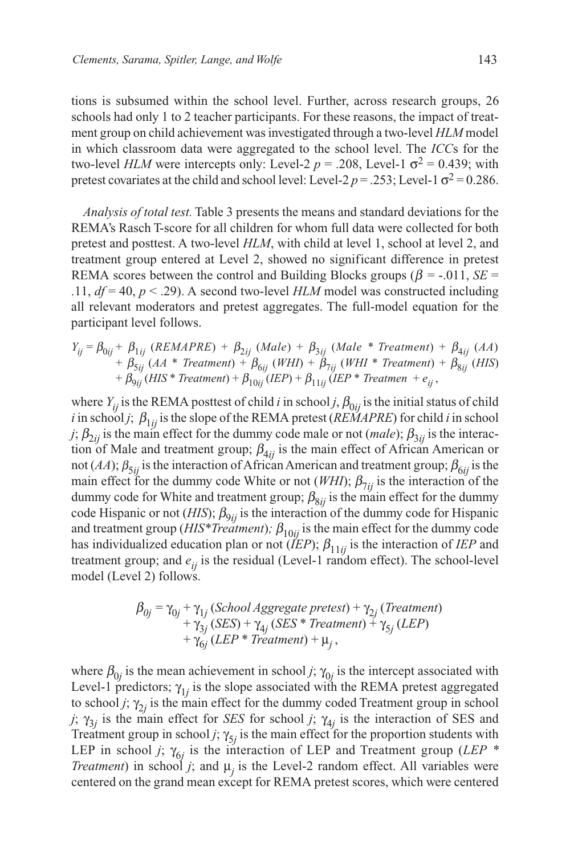tions is subsumed within the school level. Further, across research groups, 26 schools had only 1 to 2 teacher participants. For these reasons, the impact of treatment group on child achievement was investigated through a two-level *HLM* model in which classroom data were aggregated to the school level. The *ICC*s for the two-level *HLM* were intercepts only: Level-2  $p = .208$ , Level-1  $\sigma^2 = 0.439$ ; with pretest covariates at the child and school level: Level-2  $p = .253$ ; Level-1  $\sigma^2 = 0.286$ .

*Analysis of total test.* Table 3 presents the means and standard deviations for the REMA's Rasch T-score for all children for whom full data were collected for both pretest and posttest. A two-level *HLM*, with child at level 1, school at level 2, and treatment group entered at Level 2, showed no significant difference in pretest REMA scores between the control and Building Blocks groups ( $\beta$  = -.011, *SE* = .11, *df* = 40, *p* < .29). A second two-level *HLM* model was constructed including all relevant moderators and pretest aggregates. The full-model equation for the participant level follows.

$$
Y_{ij} = \beta_{0ij} + \beta_{1ij} \ (REMAPRE) + \beta_{2ij} \ (Male) + \beta_{3ij} \ (Male * Treatment) + \beta_{4ij} \ (AA)
$$
  
+  $\beta_{5ij} \ (AA * Treatment) + \beta_{6ij} \ (WHI) + \beta_{7ij} \ (WHI * Treatment) + \beta_{8ij} \ (HIS)$   
+  $\beta_{9ij} \ (HIS * Treatment) + \beta_{10ij} \ (IEP) + \beta_{11ij} \ (IEP * Treatment) + e_{ij}$ ,

where  $Y_{ij}$  is the REMA posttest of child *i* in school *j*,  $\beta_{0ij}$  is the initial status of child *i* in school *j*;  $\beta_{1ij}$  is the slope of the REMA pretest (*REMAPRE*) for child *i* in school *j*;  $\beta_{2ij}$  is the main effect for the dummy code male or not (*male*);  $\beta_{3ii}$  is the interaction of Male and treatment group;  $\beta_{4ii}$  is the main effect of African American or not (*AA*);  $\beta_{5ii}$  is the interaction of African American and treatment group;  $\beta_{6ii}$  is the main effect for the dummy code White or not (*WHI*);  $\beta_{7ij}$  is the interaction of the dummy code for White and treatment group;  $\beta_{8ij}$  is the main effect for the dummy code Hispanic or not (*HIS*);  $\beta_{9ij}$  is the interaction of the dummy code for Hispanic and treatment group (*HIS\*Treatment*);  $\beta_{10jj}$  is the main effect for the dummy code has individualized education plan or not (*IEP*);  $\beta_{11ij}$  is the interaction of *IEP* and treatment group; and  $e_{ij}$  is the residual (Level-1 random effect). The school-level model (Level 2) follows.

$$
\beta_{0j} = \gamma_{0j} + \gamma_{1j} (School \text{Aggregate pretest}) + \gamma_{2j} (Treatment) + \gamma_{3j} (SES) + \gamma_{4j} (SES * Treatment) + \gamma_{5j} (LEP) + \gamma_{6j} (LEP * Treatment) + \mu_j,
$$

where  $\beta_{0j}$  is the mean achievement in school *j*;  $\gamma_{0j}$  is the intercept associated with Level-1 predictors;  $\gamma_{1j}$  is the slope associated with the REMA pretest aggregated to school *j*;  $\gamma_{2j}$  is the main effect for the dummy coded Treatment group in school *j*;  $\gamma_{3j}$  is the main effect for *SES* for school *j*;  $\gamma_{4j}$  is the interaction of SES and Treatment group in school *j*;  $\gamma_{5j}$  is the main effect for the proportion students with LEP in school *j*;  $\gamma_{6j}$  is the interaction of LEP and Treatment group (*LEP*  $*$ *Treatment*) in school *j*; and  $\mu$  is the Level-2 random effect. All variables were centered on the grand mean except for REMA pretest scores, which were centered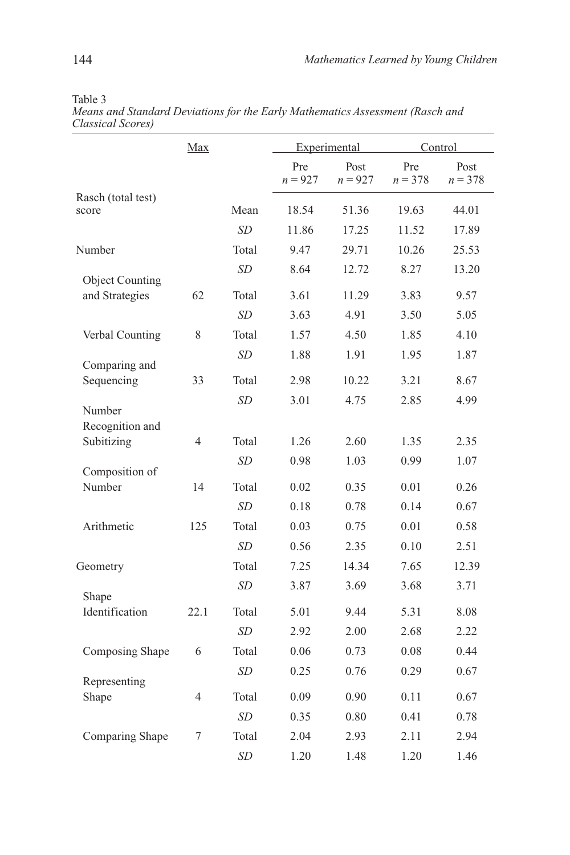| 144     | Mathematics Learned by Young Children |
|---------|---------------------------------------|
| _ _ _ _ |                                       |

|                               | Max  |           |                  | Experimental      | Control          |                   |  |
|-------------------------------|------|-----------|------------------|-------------------|------------------|-------------------|--|
|                               |      |           | Pre<br>$n = 927$ | Post<br>$n = 927$ | Pre<br>$n = 378$ | Post<br>$n = 378$ |  |
| Rasch (total test)<br>score   |      | Mean      | 18.54            | 51.36             | 19.63            | 44.01             |  |
|                               |      | <b>SD</b> | 11.86            | 17.25             | 11.52            | 17.89             |  |
| Number                        |      | Total     | 9.47             | 29.71             | 10.26            | 25.53             |  |
| <b>Object Counting</b>        |      | <b>SD</b> | 8.64             | 12.72             | 8.27             | 13.20             |  |
| and Strategies                | 62   | Total     | 3.61             | 11.29             | 3.83             | 9.57              |  |
|                               |      | SD        | 3.63             | 4.91              | 3.50             | 5.05              |  |
| Verbal Counting               | 8    | Total     | 1.57             | 4.50              | 1.85             | 4.10              |  |
| Comparing and                 |      | SD        | 1.88             | 1.91              | 1.95             | 1.87              |  |
| Sequencing                    | 33   | Total     | 2.98             | 10.22             | 3.21             | 8.67              |  |
| Number                        |      | <b>SD</b> | 3.01             | 4.75              | 2.85             | 4.99              |  |
| Recognition and<br>Subitizing | 4    | Total     | 1.26             | 2.60              | 1.35             | 2.35              |  |
| Composition of                |      | <b>SD</b> | 0.98             | 1.03              | 0.99             | 1.07              |  |
| Number                        | 14   | Total     | 0.02             | 0.35              | 0.01             | 0.26              |  |
|                               |      | <b>SD</b> | 0.18             | 0.78              | 0.14             | 0.67              |  |
| Arithmetic                    | 125  | Total     | 0.03             | 0.75              | 0.01             | 0.58              |  |
|                               |      | <b>SD</b> | 0.56             | 2.35              | 0.10             | 2.51              |  |
| Geometry                      |      | Total     | 7.25             | 14.34             | 7.65             | 12.39             |  |
| Shape                         |      | SD        | 3.87             | 3.69              | 3.68             | 3.71              |  |
| Identification                | 22.1 | Total     | 5.01             | 9.44              | 5.31             | 8.08              |  |
|                               |      | SD        | 2.92             | 2.00              | 2.68             | 2.22              |  |
| Composing Shape               | 6    | Total     | 0.06             | 0.73              | 0.08             | 0.44              |  |
| Representing                  |      | SD        | 0.25             | 0.76              | 0.29             | 0.67              |  |
| Shape                         | 4    | Total     | 0.09             | 0.90              | 0.11             | 0.67              |  |
|                               |      | <b>SD</b> | 0.35             | 0.80              | 0.41             | 0.78              |  |
| Comparing Shape               | 7    | Total     | 2.04             | 2.93              | 2.11             | 2.94              |  |
|                               |      | <b>SD</b> | 1.20             | 1.48              | 1.20             | 1.46              |  |

Table 3

*Means and Standard Deviations for the Early Mathematics Assessment (Rasch and Classical Scores)*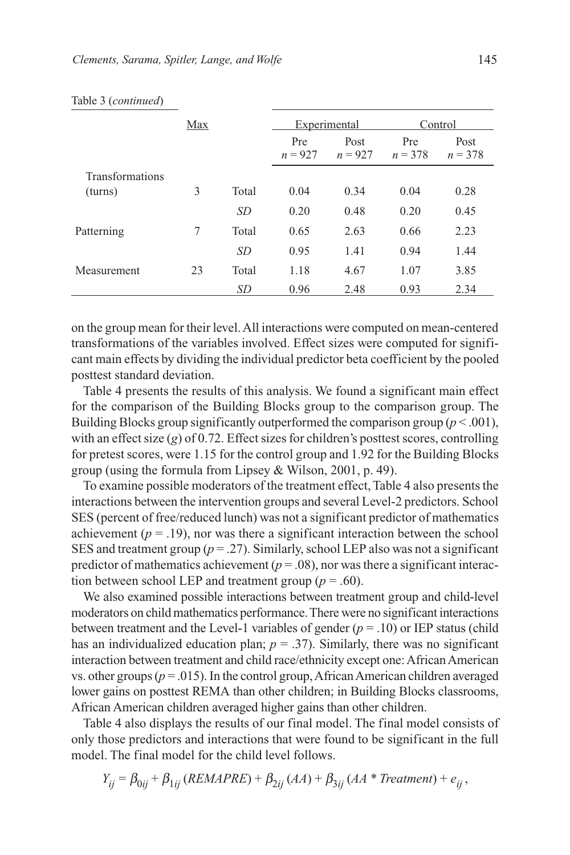|                        | Max |           |                  | Experimental      | Control          |                   |  |
|------------------------|-----|-----------|------------------|-------------------|------------------|-------------------|--|
|                        |     |           | Pre<br>$n = 927$ | Post<br>$n = 927$ | Pre<br>$n = 378$ | Post<br>$n = 378$ |  |
| <b>Transformations</b> |     |           |                  |                   |                  |                   |  |
| (turns)                | 3   | Total     | 0.04             | 0.34              | 0.04             | 0.28              |  |
|                        |     | <i>SD</i> | 0.20             | 0.48              | 0.20             | 0.45              |  |
| Patterning             | 7   | Total     | 0.65             | 2.63              | 0.66             | 2.23              |  |
|                        |     | SD        | 0.95             | 1.41              | 0.94             | 1.44              |  |
| Measurement            | 23  | Total     | 1.18             | 4.67              | 1.07             | 3.85              |  |
|                        |     | SD        | 0.96             | 2.48              | 0.93             | 2.34              |  |

#### Table 3 (*continued*)

on the group mean for their level. All interactions were computed on mean-centered transformations of the variables involved. Effect sizes were computed for significant main effects by dividing the individual predictor beta coefficient by the pooled posttest standard deviation.

Table 4 presents the results of this analysis. We found a significant main effect for the comparison of the Building Blocks group to the comparison group. The Building Blocks group significantly outperformed the comparison group  $(p < .001)$ , with an effect size (*g*) of 0.72. Effect sizes for children's posttest scores, controlling for pretest scores, were 1.15 for the control group and 1.92 for the Building Blocks group (using the formula from Lipsey & Wilson, 2001, p. 49).

To examine possible moderators of the treatment effect, Table 4 also presents the interactions between the intervention groups and several Level-2 predictors. School SES (percent of free/reduced lunch) was not a significant predictor of mathematics achievement  $(p = .19)$ , nor was there a significant interaction between the school SES and treatment group  $(p = .27)$ . Similarly, school LEP also was not a significant predictor of mathematics achievement ( $p = .08$ ), nor was there a significant interaction between school LEP and treatment group  $(p = .60)$ .

We also examined possible interactions between treatment group and child-level moderators on child mathematics performance. There were no significant interactions between treatment and the Level-1 variables of gender (*p* = .10) or IEP status (child has an individualized education plan;  $p = 0.37$ ). Similarly, there was no significant interaction between treatment and child race/ethnicity except one: African American vs. other groups ( $p = .015$ ). In the control group, African American children averaged lower gains on posttest REMA than other children; in Building Blocks classrooms, African American children averaged higher gains than other children.

Table 4 also displays the results of our final model. The final model consists of only those predictors and interactions that were found to be significant in the full model. The final model for the child level follows.

$$
Y_{ij} = \beta_{0ij} + \beta_{1ij} (REMAPRE) + \beta_{2ij} (AA) + \beta_{3ij} (AA * Treatment) + e_{ij},
$$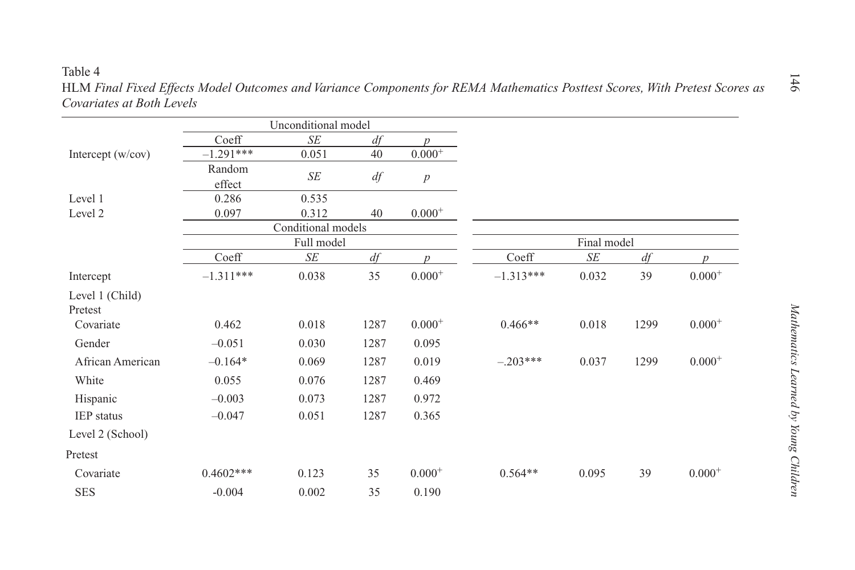# Table 4

HLM *Final Fixed Effects Model Outcomes and Variance Components for REMA Mathematics Posttest Scores, With Pretest Scores as Covariates at Both Levels*

|                   | Unconditional model |                    |      |                  |             |             |      |                  |
|-------------------|---------------------|--------------------|------|------------------|-------------|-------------|------|------------------|
|                   | Coeff               | SE                 | df   | $\boldsymbol{D}$ |             |             |      |                  |
| Intercept (w/cov) | $-1.291***$         | 0.051              | 40   | $0.000^{+}$      |             |             |      |                  |
|                   | Random              | SE                 | df   |                  |             |             |      |                  |
|                   | effect              |                    |      | $\boldsymbol{p}$ |             |             |      |                  |
| Level 1           | 0.286               | 0.535              |      |                  |             |             |      |                  |
| Level 2           | 0.097               | 0.312              | 40   | $0.000^{+}$      |             |             |      |                  |
|                   |                     | Conditional models |      |                  |             |             |      |                  |
|                   |                     | Full model         |      |                  |             | Final model |      |                  |
|                   | Coeff               | SE                 | df   | $\boldsymbol{n}$ | Coeff       | SE          | df   | $\boldsymbol{v}$ |
| Intercept         | $-1.311***$         | 0.038              | 35   | $0.000^{+}$      | $-1.313***$ | 0.032       | 39   | $0.000^{+}$      |
| Level 1 (Child)   |                     |                    |      |                  |             |             |      |                  |
| Pretest           |                     |                    |      |                  |             |             |      |                  |
| Covariate         | 0.462               | 0.018              | 1287 | $0.000^{+}$      | $0.466**$   | 0.018       | 1299 | $0.000^{+}$      |
| Gender            | $-0.051$            | 0.030              | 1287 | 0.095            |             |             |      |                  |
| African American  | $-0.164*$           | 0.069              | 1287 | 0.019            | $-.203***$  | 0.037       | 1299 | $0.000^{+}$      |
| White             | 0.055               | 0.076              | 1287 | 0.469            |             |             |      |                  |
| Hispanic          | $-0.003$            | 0.073              | 1287 | 0.972            |             |             |      |                  |
| IEP status        | $-0.047$            | 0.051              | 1287 | 0.365            |             |             |      |                  |
| Level 2 (School)  |                     |                    |      |                  |             |             |      |                  |
| Pretest           |                     |                    |      |                  |             |             |      |                  |
| Covariate         | $0.4602***$         | 0.123              | 35   | $0.000^{+}$      | $0.564**$   | 0.095       | 39   | $0.000^{+}$      |
| <b>SES</b>        | $-0.004$            | 0.002              | 35   | 0.190            |             |             |      |                  |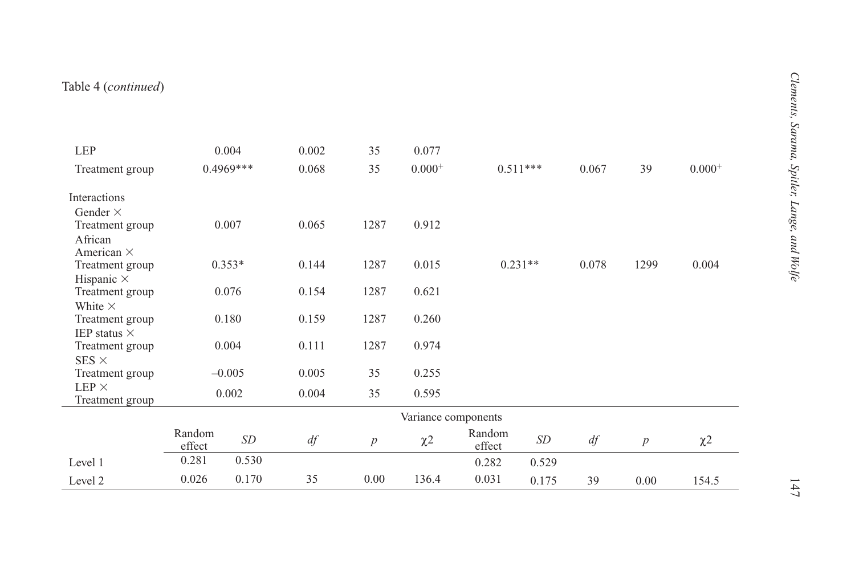# Table 4 (*continued*)

| LEP                                  |                  | 0.004                      | 0.002 | 35               | 0.077       |                  |            |       |                  |             |
|--------------------------------------|------------------|----------------------------|-------|------------------|-------------|------------------|------------|-------|------------------|-------------|
| Treatment group                      |                  | $0.4969***$                | 0.068 | 35               | $0.000^{+}$ |                  | $0.511***$ |       | 39               | $0.000^{+}$ |
| Interactions                         |                  |                            |       |                  |             |                  |            |       |                  |             |
| Gender $\times$                      |                  |                            |       |                  |             |                  |            |       |                  |             |
| Treatment group                      |                  | 0.007                      | 0.065 | 1287             | 0.912       |                  |            |       |                  |             |
| African                              |                  |                            |       |                  |             |                  |            |       |                  |             |
| American $\times$                    |                  |                            |       |                  |             |                  |            |       |                  |             |
| Treatment group                      |                  | $0.353*$                   | 0.144 | 1287             | 0.015       |                  | $0.231**$  | 0.078 | 1299             | 0.004       |
| Hispanic $\times$<br>Treatment group |                  | 0.076                      | 0.154 | 1287             | 0.621       |                  |            |       |                  |             |
| White $\times$                       |                  |                            |       |                  |             |                  |            |       |                  |             |
| Treatment group                      |                  | 0.180                      | 0.159 | 1287             | 0.260       |                  |            |       |                  |             |
| IEP status $\times$                  |                  |                            |       |                  |             |                  |            |       |                  |             |
| Treatment group                      |                  | 0.004                      | 0.111 | 1287             | 0.974       |                  |            |       |                  |             |
| $SES \times$                         |                  |                            |       |                  |             |                  |            |       |                  |             |
| Treatment group                      |                  | $-0.005$                   | 0.005 | 35               | 0.255       |                  |            |       |                  |             |
| $LEP \times$                         |                  | 0.002                      | 0.004 | 35               | 0.595       |                  |            |       |                  |             |
| Treatment group                      |                  |                            |       |                  |             |                  |            |       |                  |             |
|                                      |                  | Variance components        |       |                  |             |                  |            |       |                  |             |
|                                      | Random<br>effect | $\ensuremath{\mathit{SD}}$ | df    | $\boldsymbol{p}$ | $\chi$ 2    | Random<br>effect | SD         | df    | $\boldsymbol{p}$ | $\chi$ 2    |
| Level 1                              | 0.281            | 0.530                      |       |                  |             | 0.282            | 0.529      |       |                  |             |
| Level 2                              | 0.026            | 0.170                      | 35    | 0.00             | 136.4       | 0.031            | 0.175      | 39    | 0.00             | 154.5       |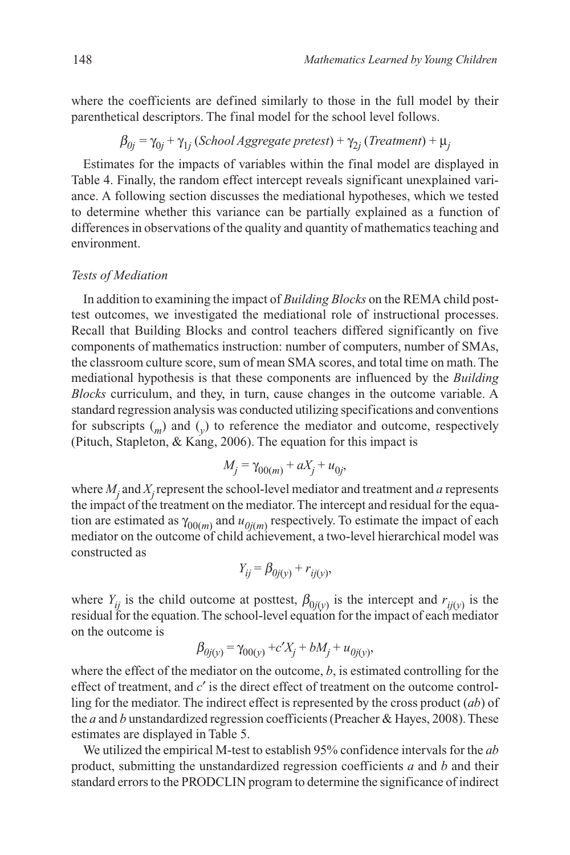where the coefficients are defined similarly to those in the full model by their parenthetical descriptors. The final model for the school level follows.

$$
\beta_{0j} = \gamma_{0j} + \gamma_{1j} (School \text{Aggregate pretest}) + \gamma_{2j} (Treatment) + \mu_j
$$

Estimates for the impacts of variables within the final model are displayed in Table 4. Finally, the random effect intercept reveals significant unexplained variance. A following section discusses the mediational hypotheses, which we tested to determine whether this variance can be partially explained as a function of differences in observations of the quality and quantity of mathematics teaching and environment.

### *Tests of Mediation*

In addition to examining the impact of *Building Blocks* on the REMA child posttest outcomes, we investigated the mediational role of instructional processes. Recall that Building Blocks and control teachers differed significantly on five components of mathematics instruction: number of computers, number of SMAs, the classroom culture score, sum of mean SMA scores, and total time on math. The mediational hypothesis is that these components are influenced by the *Building Blocks* curriculum, and they, in turn, cause changes in the outcome variable. A standard regression analysis was conducted utilizing specifications and conventions for subscripts  $\binom{m}{m}$  and  $\binom{m}{y}$  to reference the mediator and outcome, respectively (Pituch, Stapleton, & Kang, 2006). The equation for this impact is

$$
M_j = \gamma_{00(m)} + aX_j + u_{0j}
$$

,

where  $M_j$  and  $X_j$  represent the school-level mediator and treatment and  $a$  represents the impact of the treatment on the mediator. The intercept and residual for the equation are estimated as  $\gamma_{00(m)}$  and  $u_{0j(m)}$  respectively. To estimate the impact of each mediator on the outcome of child achievement, a two-level hierarchical model was constructed as

$$
Y_{ij} = \beta_{0j(y)} + r_{ij(y)},
$$

where  $Y_{ij}$  is the child outcome at posttest,  $\beta_{0j(y)}$  is the intercept and  $r_{ij(y)}$  is the residual for the equation. The school-level equation for the impact of each mediator on the outcome is

$$
\beta_{0j(y)} = \gamma_{00(y)} + c'X_j + bM_j + u_{0j(y)},
$$

where the effect of the mediator on the outcome, *b*, is estimated controlling for the effect of treatment, and  $c'$  is the direct effect of treatment on the outcome controlling for the mediator. The indirect effect is represented by the cross product (*ab*) of the *a* and *b* unstandardized regression coefficients (Preacher & Hayes, 2008). These estimates are displayed in Table 5.

We utilized the empirical M-test to establish 95% confidence intervals for the *ab* product, submitting the unstandardized regression coefficients *a* and *b* and their standard errors to the PRODCLIN program to determine the significance of indirect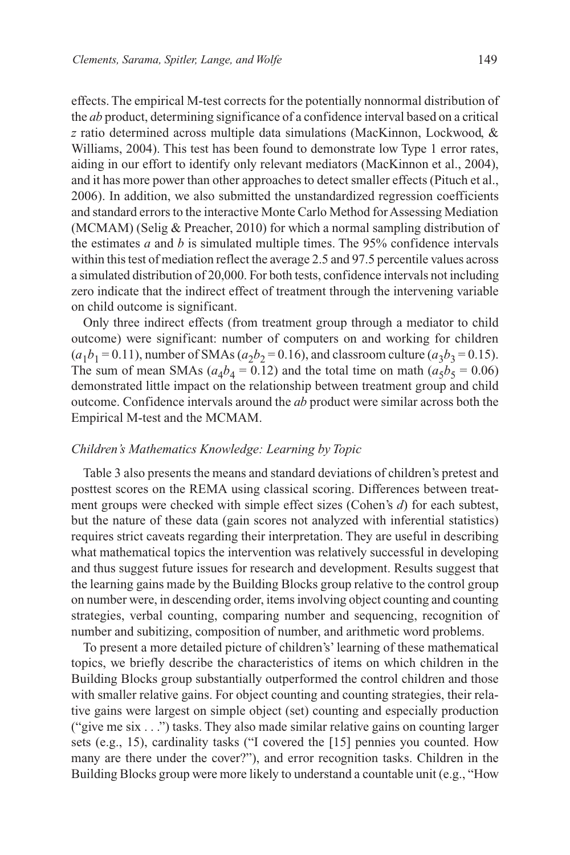effects. The empirical M-test corrects for the potentially nonnormal distribution of the *ab* product, determining significance of a confidence interval based on a critical *z* ratio determined across multiple data simulations (MacKinnon, Lockwood, & Williams, 2004). This test has been found to demonstrate low Type 1 error rates, aiding in our effort to identify only relevant mediators (MacKinnon et al., 2004), and it has more power than other approaches to detect smaller effects (Pituch et al., 2006). In addition, we also submitted the unstandardized regression coefficients and standard errors to the interactive Monte Carlo Method for Assessing Mediation (MCMAM) (Selig & Preacher, 2010) for which a normal sampling distribution of the estimates *a* and *b* is simulated multiple times. The 95% confidence intervals within this test of mediation reflect the average 2.5 and 97.5 percentile values across a simulated distribution of 20,000. For both tests, confidence intervals not including zero indicate that the indirect effect of treatment through the intervening variable on child outcome is significant.

Only three indirect effects (from treatment group through a mediator to child outcome) were significant: number of computers on and working for children  $(a_1b_1 = 0.11)$ , number of SMAs  $(a_2b_2 = 0.16)$ , and classroom culture  $(a_3b_3 = 0.15)$ . The sum of mean SMAs ( $a<sub>A</sub>b<sub>A</sub> = 0.12$ ) and the total time on math ( $a<sub>5</sub>b<sub>5</sub> = 0.06$ ) demonstrated little impact on the relationship between treatment group and child outcome. Confidence intervals around the *ab* product were similar across both the Empirical M-test and the MCMAM.

#### *Children's Mathematics Knowledge: Learning by Topic*

Table 3 also presents the means and standard deviations of children's pretest and posttest scores on the REMA using classical scoring. Differences between treatment groups were checked with simple effect sizes (Cohen's *d*) for each subtest, but the nature of these data (gain scores not analyzed with inferential statistics) requires strict caveats regarding their interpretation. They are useful in describing what mathematical topics the intervention was relatively successful in developing and thus suggest future issues for research and development. Results suggest that the learning gains made by the Building Blocks group relative to the control group on number were, in descending order, items involving object counting and counting strategies, verbal counting, comparing number and sequencing, recognition of number and subitizing, composition of number, and arithmetic word problems.

To present a more detailed picture of children's' learning of these mathematical topics, we briefly describe the characteristics of items on which children in the Building Blocks group substantially outperformed the control children and those with smaller relative gains. For object counting and counting strategies, their relative gains were largest on simple object (set) counting and especially production ("give me six . . .") tasks. They also made similar relative gains on counting larger sets (e.g., 15), cardinality tasks ("I covered the [15] pennies you counted. How many are there under the cover?"), and error recognition tasks. Children in the Building Blocks group were more likely to understand a countable unit (e.g., "How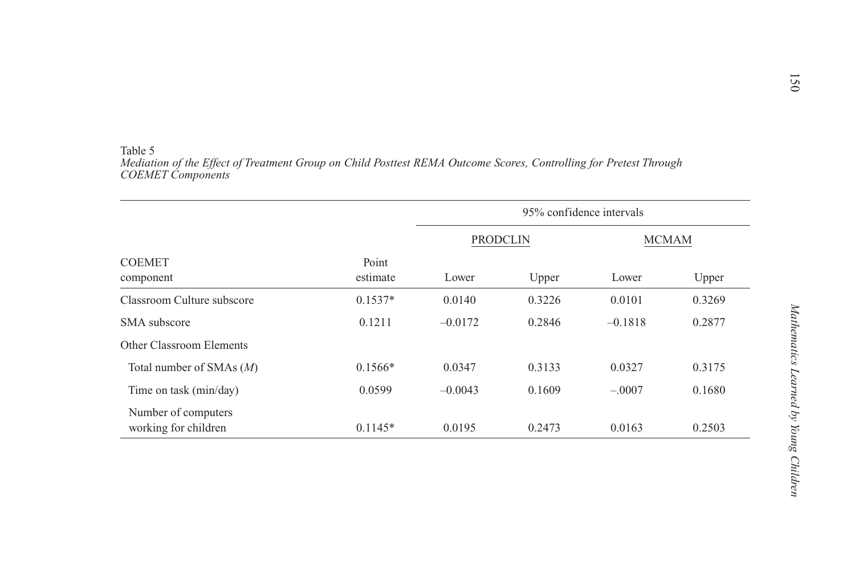95% confidence intervals PRODCLIN MCMAM COEMET component Point estimate Lower Upper Lower Upper Classroom Culture subscore  $0.1537^*$  0.0140 0.3226 0.0101 0.3269 SMA subscore  $0.1211 -0.0172 -0.2846 -0.1818 -0.2877$ Other Classroom Elements Total number of SMAs (*M*) 0.1566\* 0.0347 0.3133 0.0327 0.3175 Time on task (min/day) 0.0599 –0.0043 0.1609 –0.007 0.1680 Number of computers working for children 0.1145\* 0.0195 0.2473 0.0163 0.2503

Table 5 *Mediation of the Effect of Treatment Group on Child Posttest REMA Outcome Scores, Controlling for Pretest Through COEMET Components*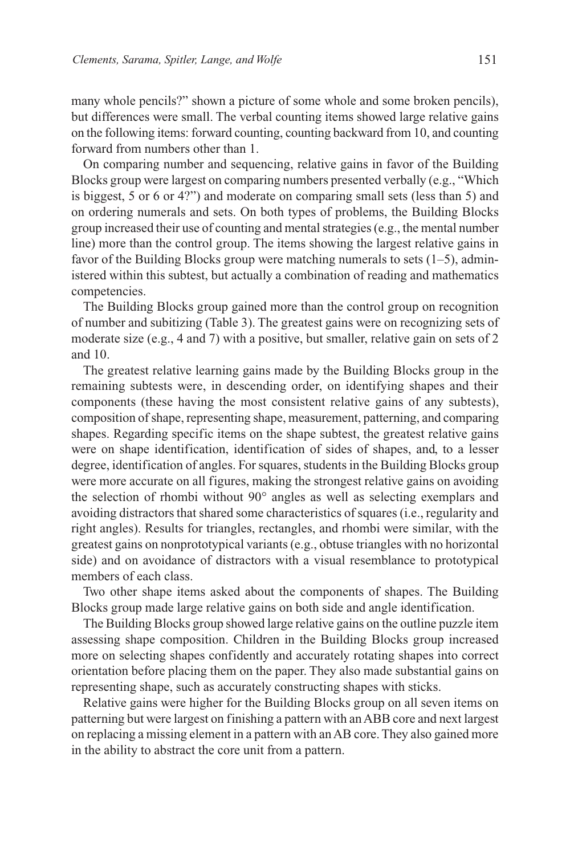many whole pencils?" shown a picture of some whole and some broken pencils), but differences were small. The verbal counting items showed large relative gains on the following items: forward counting, counting backward from 10, and counting forward from numbers other than 1.

On comparing number and sequencing, relative gains in favor of the Building Blocks group were largest on comparing numbers presented verbally (e.g., "Which is biggest, 5 or 6 or 4?") and moderate on comparing small sets (less than 5) and on ordering numerals and sets. On both types of problems, the Building Blocks group increased their use of counting and mental strategies (e.g., the mental number line) more than the control group. The items showing the largest relative gains in favor of the Building Blocks group were matching numerals to sets (1–5), administered within this subtest, but actually a combination of reading and mathematics competencies.

The Building Blocks group gained more than the control group on recognition of number and subitizing (Table 3). The greatest gains were on recognizing sets of moderate size (e.g., 4 and 7) with a positive, but smaller, relative gain on sets of 2 and 10.

The greatest relative learning gains made by the Building Blocks group in the remaining subtests were, in descending order, on identifying shapes and their components (these having the most consistent relative gains of any subtests), composition of shape, representing shape, measurement, patterning, and comparing shapes. Regarding specific items on the shape subtest, the greatest relative gains were on shape identification, identification of sides of shapes, and, to a lesser degree, identification of angles. For squares, students in the Building Blocks group were more accurate on all figures, making the strongest relative gains on avoiding the selection of rhombi without 90° angles as well as selecting exemplars and avoiding distractors that shared some characteristics of squares (i.e., regularity and right angles). Results for triangles, rectangles, and rhombi were similar, with the greatest gains on nonprototypical variants (e.g., obtuse triangles with no horizontal side) and on avoidance of distractors with a visual resemblance to prototypical members of each class.

Two other shape items asked about the components of shapes. The Building Blocks group made large relative gains on both side and angle identification.

The Building Blocks group showed large relative gains on the outline puzzle item assessing shape composition. Children in the Building Blocks group increased more on selecting shapes confidently and accurately rotating shapes into correct orientation before placing them on the paper. They also made substantial gains on representing shape, such as accurately constructing shapes with sticks.

Relative gains were higher for the Building Blocks group on all seven items on patterning but were largest on finishing a pattern with an ABB core and next largest on replacing a missing element in a pattern with an AB core. They also gained more in the ability to abstract the core unit from a pattern.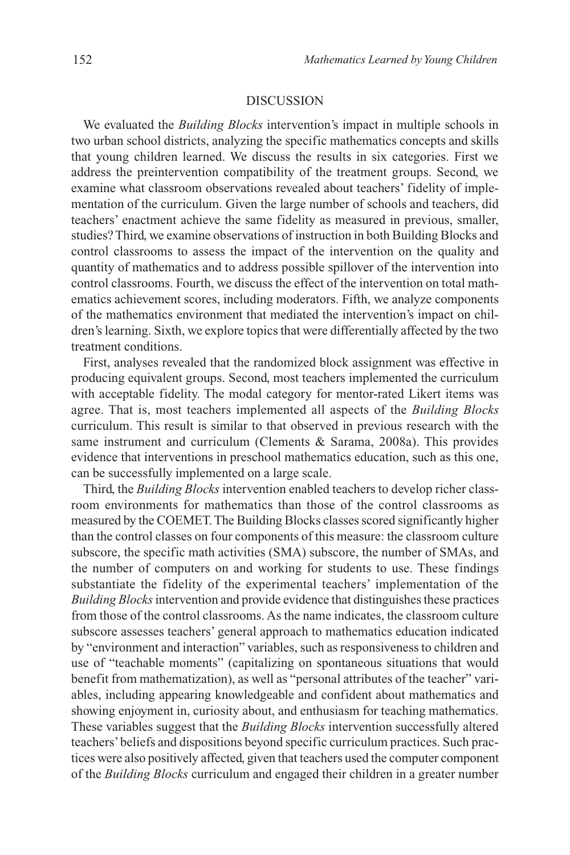# **DISCUSSION**

We evaluated the *Building Blocks* intervention's impact in multiple schools in two urban school districts, analyzing the specific mathematics concepts and skills that young children learned. We discuss the results in six categories. First we address the preintervention compatibility of the treatment groups. Second, we examine what classroom observations revealed about teachers' fidelity of implementation of the curriculum. Given the large number of schools and teachers, did teachers' enactment achieve the same fidelity as measured in previous, smaller, studies? Third, we examine observations of instruction in both Building Blocks and control classrooms to assess the impact of the intervention on the quality and quantity of mathematics and to address possible spillover of the intervention into control classrooms. Fourth, we discuss the effect of the intervention on total mathematics achievement scores, including moderators. Fifth, we analyze components of the mathematics environment that mediated the intervention's impact on children's learning. Sixth, we explore topics that were differentially affected by the two treatment conditions.

First, analyses revealed that the randomized block assignment was effective in producing equivalent groups. Second, most teachers implemented the curriculum with acceptable fidelity. The modal category for mentor-rated Likert items was agree. That is, most teachers implemented all aspects of the *Building Blocks* curriculum. This result is similar to that observed in previous research with the same instrument and curriculum (Clements & Sarama, 2008a). This provides evidence that interventions in preschool mathematics education, such as this one, can be successfully implemented on a large scale.

Third, the *Building Blocks* intervention enabled teachers to develop richer classroom environments for mathematics than those of the control classrooms as measured by the COEMET. The Building Blocks classes scored significantly higher than the control classes on four components of this measure: the classroom culture subscore, the specific math activities (SMA) subscore, the number of SMAs, and the number of computers on and working for students to use. These findings substantiate the fidelity of the experimental teachers' implementation of the *Building Blocks* intervention and provide evidence that distinguishes these practices from those of the control classrooms. As the name indicates, the classroom culture subscore assesses teachers' general approach to mathematics education indicated by "environment and interaction" variables, such as responsiveness to children and use of "teachable moments" (capitalizing on spontaneous situations that would benefit from mathematization), as well as "personal attributes of the teacher" variables, including appearing knowledgeable and confident about mathematics and showing enjoyment in, curiosity about, and enthusiasm for teaching mathematics. These variables suggest that the *Building Blocks* intervention successfully altered teachers' beliefs and dispositions beyond specific curriculum practices. Such practices were also positively affected, given that teachers used the computer component of the *Building Blocks* curriculum and engaged their children in a greater number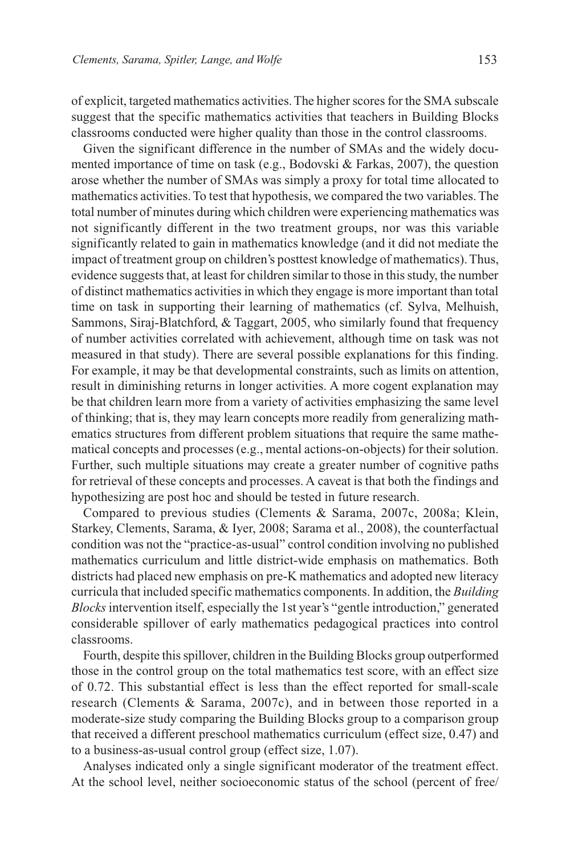of explicit, targeted mathematics activities. The higher scores for the SMA subscale suggest that the specific mathematics activities that teachers in Building Blocks classrooms conducted were higher quality than those in the control classrooms.

Given the significant difference in the number of SMAs and the widely documented importance of time on task (e.g., Bodovski & Farkas, 2007), the question arose whether the number of SMAs was simply a proxy for total time allocated to mathematics activities. To test that hypothesis, we compared the two variables. The total number of minutes during which children were experiencing mathematics was not significantly different in the two treatment groups, nor was this variable significantly related to gain in mathematics knowledge (and it did not mediate the impact of treatment group on children's posttest knowledge of mathematics). Thus, evidence suggests that, at least for children similar to those in this study, the number of distinct mathematics activities in which they engage is more important than total time on task in supporting their learning of mathematics (cf. Sylva, Melhuish, Sammons, Siraj-Blatchford, & Taggart, 2005, who similarly found that frequency of number activities correlated with achievement, although time on task was not measured in that study). There are several possible explanations for this finding. For example, it may be that developmental constraints, such as limits on attention, result in diminishing returns in longer activities. A more cogent explanation may be that children learn more from a variety of activities emphasizing the same level of thinking; that is, they may learn concepts more readily from generalizing mathematics structures from different problem situations that require the same mathematical concepts and processes (e.g., mental actions-on-objects) for their solution. Further, such multiple situations may create a greater number of cognitive paths for retrieval of these concepts and processes. A caveat is that both the findings and hypothesizing are post hoc and should be tested in future research.

Compared to previous studies (Clements & Sarama, 2007c, 2008a; Klein, Starkey, Clements, Sarama, & Iyer, 2008; Sarama et al., 2008), the counterfactual condition was not the "practice-as-usual" control condition involving no published mathematics curriculum and little district-wide emphasis on mathematics. Both districts had placed new emphasis on pre-K mathematics and adopted new literacy curricula that included specific mathematics components. In addition, the *Building Blocks* intervention itself, especially the 1st year's "gentle introduction," generated considerable spillover of early mathematics pedagogical practices into control classrooms.

Fourth, despite this spillover, children in the Building Blocks group outperformed those in the control group on the total mathematics test score, with an effect size of 0.72. This substantial effect is less than the effect reported for small-scale research (Clements & Sarama, 2007c), and in between those reported in a moderate-size study comparing the Building Blocks group to a comparison group that received a different preschool mathematics curriculum (effect size, 0.47) and to a business-as-usual control group (effect size, 1.07).

Analyses indicated only a single significant moderator of the treatment effect. At the school level, neither socioeconomic status of the school (percent of free/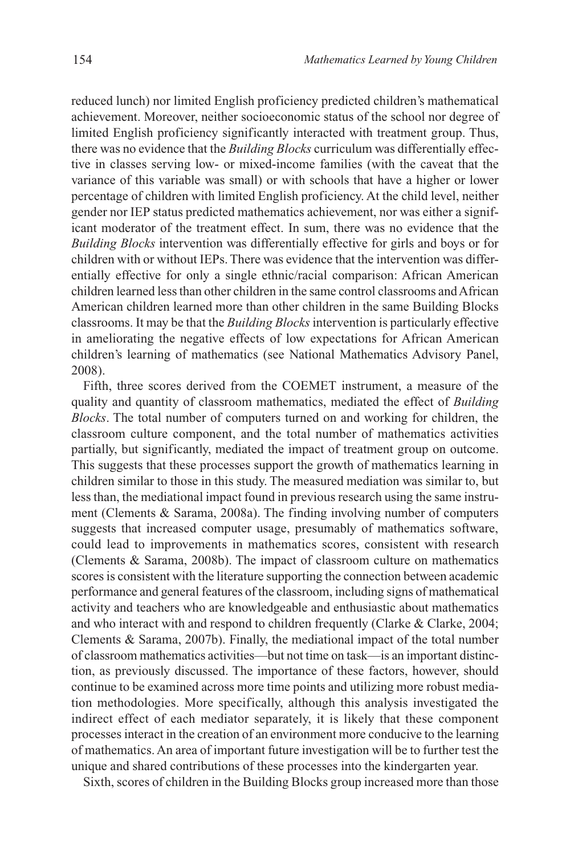reduced lunch) nor limited English proficiency predicted children's mathematical achievement. Moreover, neither socioeconomic status of the school nor degree of limited English proficiency significantly interacted with treatment group. Thus, there was no evidence that the *Building Blocks* curriculum was differentially effective in classes serving low- or mixed-income families (with the caveat that the variance of this variable was small) or with schools that have a higher or lower percentage of children with limited English proficiency. At the child level, neither gender nor IEP status predicted mathematics achievement, nor was either a significant moderator of the treatment effect. In sum, there was no evidence that the *Building Blocks* intervention was differentially effective for girls and boys or for children with or without IEPs. There was evidence that the intervention was differentially effective for only a single ethnic/racial comparison: African American children learned less than other children in the same control classrooms and African American children learned more than other children in the same Building Blocks classrooms. It may be that the *Building Blocks* intervention is particularly effective in ameliorating the negative effects of low expectations for African American children's learning of mathematics (see National Mathematics Advisory Panel, 2008).

Fifth, three scores derived from the COEMET instrument, a measure of the quality and quantity of classroom mathematics, mediated the effect of *Building Blocks*. The total number of computers turned on and working for children, the classroom culture component, and the total number of mathematics activities partially, but significantly, mediated the impact of treatment group on outcome. This suggests that these processes support the growth of mathematics learning in children similar to those in this study. The measured mediation was similar to, but less than, the mediational impact found in previous research using the same instrument (Clements & Sarama, 2008a). The finding involving number of computers suggests that increased computer usage, presumably of mathematics software, could lead to improvements in mathematics scores, consistent with research (Clements & Sarama, 2008b). The impact of classroom culture on mathematics scores is consistent with the literature supporting the connection between academic performance and general features of the classroom, including signs of mathematical activity and teachers who are knowledgeable and enthusiastic about mathematics and who interact with and respond to children frequently (Clarke & Clarke, 2004; Clements & Sarama, 2007b). Finally, the mediational impact of the total number of classroom mathematics activities—but not time on task—is an important distinction, as previously discussed. The importance of these factors, however, should continue to be examined across more time points and utilizing more robust mediation methodologies. More specifically, although this analysis investigated the indirect effect of each mediator separately, it is likely that these component processes interact in the creation of an environment more conducive to the learning of mathematics. An area of important future investigation will be to further test the unique and shared contributions of these processes into the kindergarten year.

Sixth, scores of children in the Building Blocks group increased more than those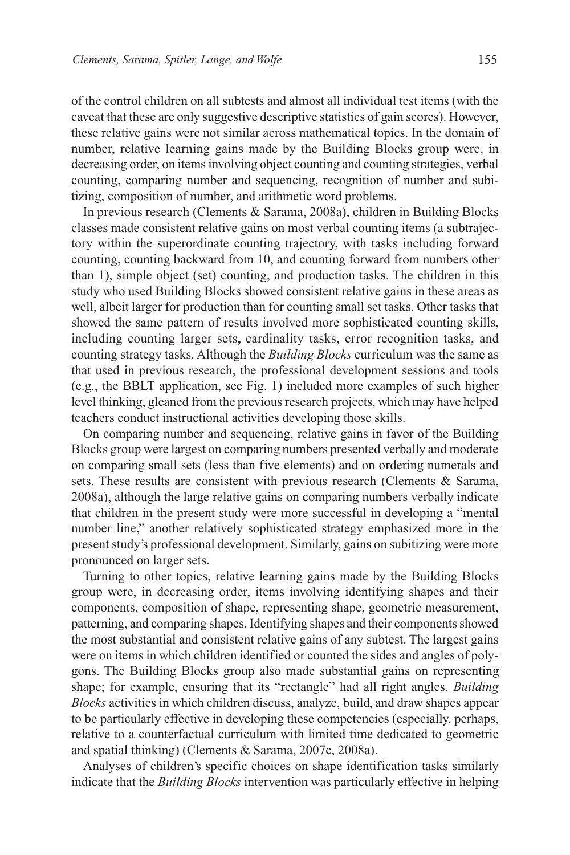of the control children on all subtests and almost all individual test items (with the caveat that these are only suggestive descriptive statistics of gain scores). However, these relative gains were not similar across mathematical topics. In the domain of number, relative learning gains made by the Building Blocks group were, in decreasing order, on items involving object counting and counting strategies, verbal counting, comparing number and sequencing, recognition of number and subitizing, composition of number, and arithmetic word problems.

In previous research (Clements & Sarama, 2008a), children in Building Blocks classes made consistent relative gains on most verbal counting items (a subtrajectory within the superordinate counting trajectory, with tasks including forward counting, counting backward from 10, and counting forward from numbers other than 1), simple object (set) counting, and production tasks. The children in this study who used Building Blocks showed consistent relative gains in these areas as well, albeit larger for production than for counting small set tasks. Other tasks that showed the same pattern of results involved more sophisticated counting skills, including counting larger sets**,** cardinality tasks, error recognition tasks, and counting strategy tasks. Although the *Building Blocks* curriculum was the same as that used in previous research, the professional development sessions and tools (e.g., the BBLT application, see Fig. 1) included more examples of such higher level thinking, gleaned from the previous research projects, which may have helped teachers conduct instructional activities developing those skills.

On comparing number and sequencing, relative gains in favor of the Building Blocks group were largest on comparing numbers presented verbally and moderate on comparing small sets (less than five elements) and on ordering numerals and sets. These results are consistent with previous research (Clements & Sarama, 2008a), although the large relative gains on comparing numbers verbally indicate that children in the present study were more successful in developing a "mental number line," another relatively sophisticated strategy emphasized more in the present study's professional development. Similarly, gains on subitizing were more pronounced on larger sets.

Turning to other topics, relative learning gains made by the Building Blocks group were, in decreasing order, items involving identifying shapes and their components, composition of shape, representing shape, geometric measurement, patterning, and comparing shapes. Identifying shapes and their components showed the most substantial and consistent relative gains of any subtest. The largest gains were on items in which children identified or counted the sides and angles of polygons. The Building Blocks group also made substantial gains on representing shape; for example, ensuring that its "rectangle" had all right angles. *Building Blocks* activities in which children discuss, analyze, build, and draw shapes appear to be particularly effective in developing these competencies (especially, perhaps, relative to a counterfactual curriculum with limited time dedicated to geometric and spatial thinking) (Clements & Sarama, 2007c, 2008a).

Analyses of children's specific choices on shape identification tasks similarly indicate that the *Building Blocks* intervention was particularly effective in helping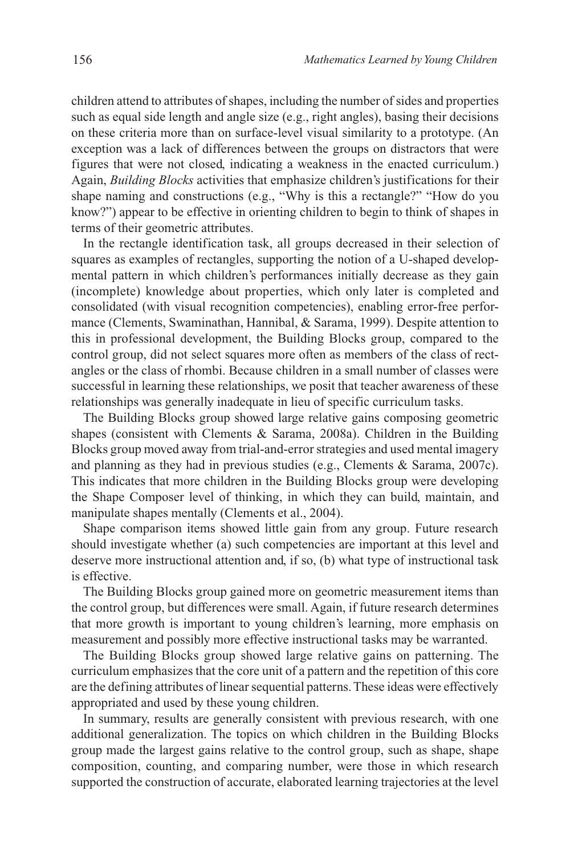children attend to attributes of shapes, including the number of sides and properties such as equal side length and angle size (e.g., right angles), basing their decisions on these criteria more than on surface-level visual similarity to a prototype. (An exception was a lack of differences between the groups on distractors that were figures that were not closed, indicating a weakness in the enacted curriculum.) Again, *Building Blocks* activities that emphasize children's justifications for their shape naming and constructions (e.g., "Why is this a rectangle?" "How do you know?") appear to be effective in orienting children to begin to think of shapes in terms of their geometric attributes.

In the rectangle identification task, all groups decreased in their selection of squares as examples of rectangles, supporting the notion of a U-shaped developmental pattern in which children's performances initially decrease as they gain (incomplete) knowledge about properties, which only later is completed and consolidated (with visual recognition competencies), enabling error-free performance (Clements, Swaminathan, Hannibal, & Sarama, 1999). Despite attention to this in professional development, the Building Blocks group, compared to the control group, did not select squares more often as members of the class of rectangles or the class of rhombi. Because children in a small number of classes were successful in learning these relationships, we posit that teacher awareness of these relationships was generally inadequate in lieu of specific curriculum tasks.

The Building Blocks group showed large relative gains composing geometric shapes (consistent with Clements & Sarama, 2008a). Children in the Building Blocks group moved away from trial-and-error strategies and used mental imagery and planning as they had in previous studies (e.g., Clements & Sarama, 2007c). This indicates that more children in the Building Blocks group were developing the Shape Composer level of thinking, in which they can build, maintain, and manipulate shapes mentally (Clements et al., 2004).

Shape comparison items showed little gain from any group. Future research should investigate whether (a) such competencies are important at this level and deserve more instructional attention and, if so, (b) what type of instructional task is effective.

The Building Blocks group gained more on geometric measurement items than the control group, but differences were small. Again, if future research determines that more growth is important to young children's learning, more emphasis on measurement and possibly more effective instructional tasks may be warranted.

The Building Blocks group showed large relative gains on patterning. The curriculum emphasizes that the core unit of a pattern and the repetition of this core are the defining attributes of linear sequential patterns. These ideas were effectively appropriated and used by these young children.

In summary, results are generally consistent with previous research, with one additional generalization. The topics on which children in the Building Blocks group made the largest gains relative to the control group, such as shape, shape composition, counting, and comparing number, were those in which research supported the construction of accurate, elaborated learning trajectories at the level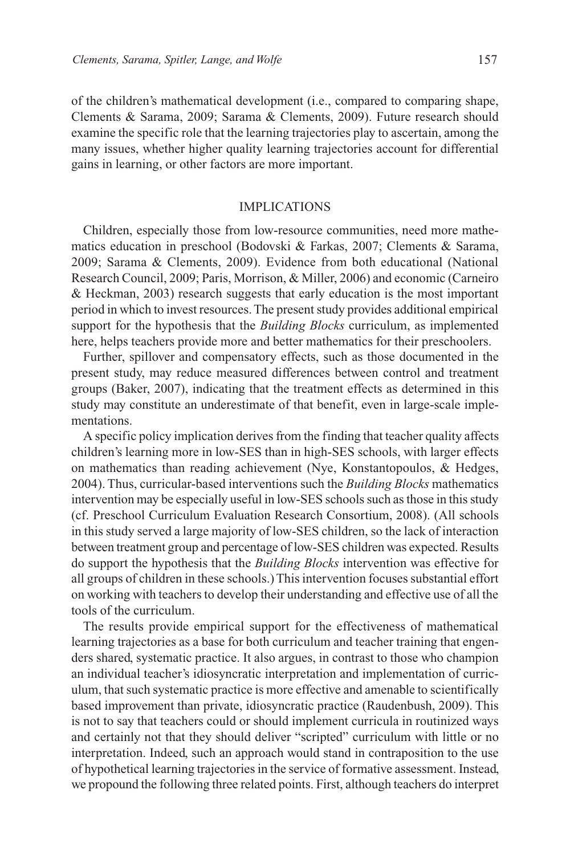of the children's mathematical development (i.e., compared to comparing shape, Clements & Sarama, 2009; Sarama & Clements, 2009). Future research should examine the specific role that the learning trajectories play to ascertain, among the many issues, whether higher quality learning trajectories account for differential gains in learning, or other factors are more important.

# IMPLICATIONS

Children, especially those from low-resource communities, need more mathematics education in preschool (Bodovski & Farkas, 2007; Clements & Sarama, 2009; Sarama & Clements, 2009). Evidence from both educational (National Research Council, 2009; Paris, Morrison, & Miller, 2006) and economic (Carneiro & Heckman, 2003) research suggests that early education is the most important period in which to invest resources. The present study provides additional empirical support for the hypothesis that the *Building Blocks* curriculum, as implemented here, helps teachers provide more and better mathematics for their preschoolers.

Further, spillover and compensatory effects, such as those documented in the present study, may reduce measured differences between control and treatment groups (Baker, 2007), indicating that the treatment effects as determined in this study may constitute an underestimate of that benefit, even in large-scale implementations.

A specific policy implication derives from the finding that teacher quality affects children's learning more in low-SES than in high-SES schools, with larger effects on mathematics than reading achievement (Nye, Konstantopoulos, & Hedges, 2004). Thus, curricular-based interventions such the *Building Blocks* mathematics intervention may be especially useful in low-SES schools such as those in this study (cf. Preschool Curriculum Evaluation Research Consortium, 2008). (All schools in this study served a large majority of low-SES children, so the lack of interaction between treatment group and percentage of low-SES children was expected. Results do support the hypothesis that the *Building Blocks* intervention was effective for all groups of children in these schools.) This intervention focuses substantial effort on working with teachers to develop their understanding and effective use of all the tools of the curriculum.

The results provide empirical support for the effectiveness of mathematical learning trajectories as a base for both curriculum and teacher training that engenders shared, systematic practice. It also argues, in contrast to those who champion an individual teacher's idiosyncratic interpretation and implementation of curriculum, that such systematic practice is more effective and amenable to scientifically based improvement than private, idiosyncratic practice (Raudenbush, 2009). This is not to say that teachers could or should implement curricula in routinized ways and certainly not that they should deliver "scripted" curriculum with little or no interpretation. Indeed, such an approach would stand in contraposition to the use of hypothetical learning trajectories in the service of formative assessment. Instead, we propound the following three related points. First, although teachers do interpret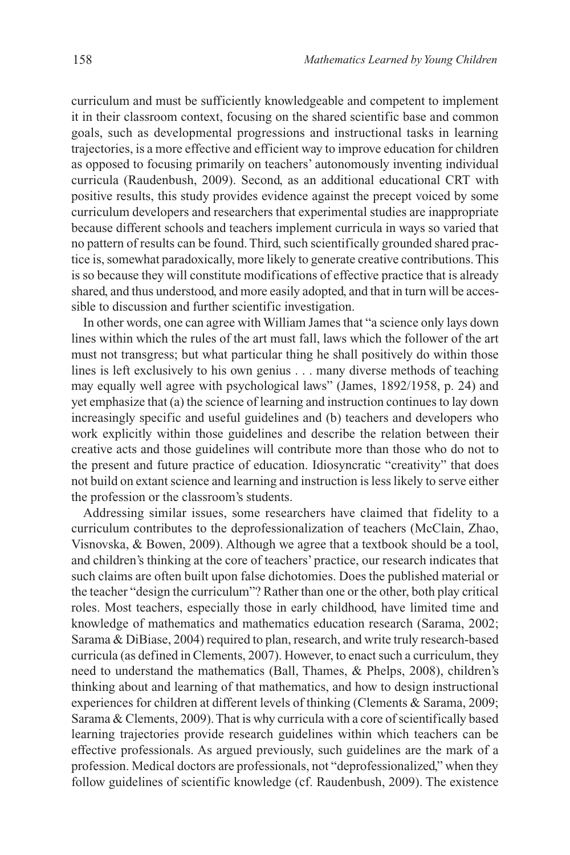curriculum and must be sufficiently knowledgeable and competent to implement it in their classroom context, focusing on the shared scientific base and common goals, such as developmental progressions and instructional tasks in learning trajectories, is a more effective and efficient way to improve education for children as opposed to focusing primarily on teachers' autonomously inventing individual curricula (Raudenbush, 2009). Second, as an additional educational CRT with positive results, this study provides evidence against the precept voiced by some curriculum developers and researchers that experimental studies are inappropriate because different schools and teachers implement curricula in ways so varied that no pattern of results can be found. Third, such scientifically grounded shared practice is, somewhat paradoxically, more likely to generate creative contributions. This is so because they will constitute modifications of effective practice that is already shared, and thus understood, and more easily adopted, and that in turn will be accessible to discussion and further scientific investigation.

In other words, one can agree with William James that "a science only lays down lines within which the rules of the art must fall, laws which the follower of the art must not transgress; but what particular thing he shall positively do within those lines is left exclusively to his own genius . . . many diverse methods of teaching may equally well agree with psychological laws" (James, 1892/1958, p. 24) and yet emphasize that (a) the science of learning and instruction continues to lay down increasingly specific and useful guidelines and (b) teachers and developers who work explicitly within those guidelines and describe the relation between their creative acts and those guidelines will contribute more than those who do not to the present and future practice of education. Idiosyncratic "creativity" that does not build on extant science and learning and instruction is less likely to serve either the profession or the classroom's students.

Addressing similar issues, some researchers have claimed that fidelity to a curriculum contributes to the deprofessionalization of teachers (McClain, Zhao, Visnovska, & Bowen, 2009). Although we agree that a textbook should be a tool, and children's thinking at the core of teachers' practice, our research indicates that such claims are often built upon false dichotomies. Does the published material or the teacher "design the curriculum"? Rather than one or the other, both play critical roles. Most teachers, especially those in early childhood, have limited time and knowledge of mathematics and mathematics education research (Sarama, 2002; Sarama & DiBiase, 2004) required to plan, research, and write truly research-based curricula (as defined in Clements, 2007). However, to enact such a curriculum, they need to understand the mathematics (Ball, Thames, & Phelps, 2008), children's thinking about and learning of that mathematics, and how to design instructional experiences for children at different levels of thinking (Clements & Sarama, 2009; Sarama & Clements, 2009). That is why curricula with a core of scientifically based learning trajectories provide research guidelines within which teachers can be effective professionals. As argued previously, such guidelines are the mark of a profession. Medical doctors are professionals, not "deprofessionalized," when they follow guidelines of scientific knowledge (cf. Raudenbush, 2009). The existence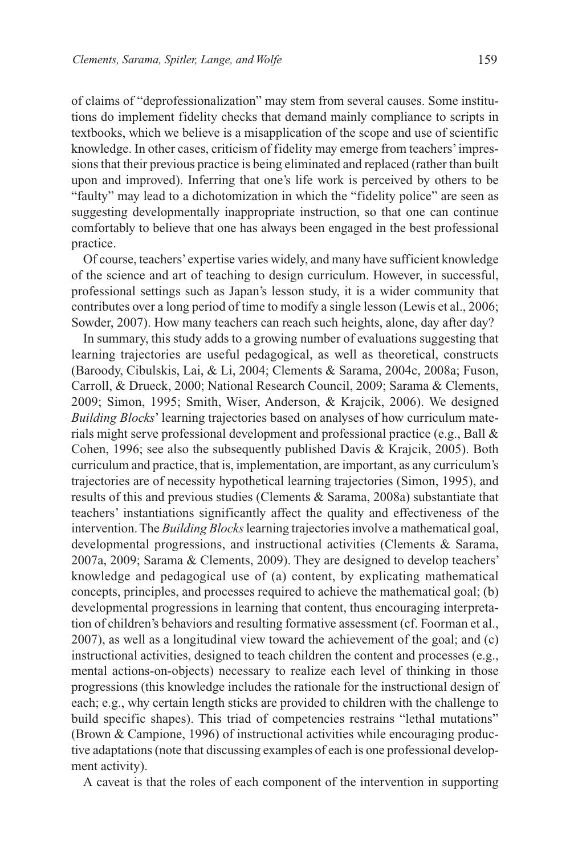of claims of "deprofessionalization" may stem from several causes. Some institutions do implement fidelity checks that demand mainly compliance to scripts in textbooks, which we believe is a misapplication of the scope and use of scientific knowledge. In other cases, criticism of fidelity may emerge from teachers' impressions that their previous practice is being eliminated and replaced (rather than built upon and improved). Inferring that one's life work is perceived by others to be "faulty" may lead to a dichotomization in which the "fidelity police" are seen as suggesting developmentally inappropriate instruction, so that one can continue comfortably to believe that one has always been engaged in the best professional practice.

Of course, teachers' expertise varies widely, and many have sufficient knowledge of the science and art of teaching to design curriculum. However, in successful, professional settings such as Japan's lesson study, it is a wider community that contributes over a long period of time to modify a single lesson (Lewis et al., 2006; Sowder, 2007). How many teachers can reach such heights, alone, day after day?

In summary, this study adds to a growing number of evaluations suggesting that learning trajectories are useful pedagogical, as well as theoretical, constructs (Baroody, Cibulskis, Lai, & Li, 2004; Clements & Sarama, 2004c, 2008a; Fuson, Carroll, & Drueck, 2000; National Research Council, 2009; Sarama & Clements, 2009; Simon, 1995; Smith, Wiser, Anderson, & Krajcik, 2006). We designed *Building Blocks*' learning trajectories based on analyses of how curriculum materials might serve professional development and professional practice (e.g., Ball & Cohen, 1996; see also the subsequently published Davis & Krajcik, 2005). Both curriculum and practice, that is, implementation, are important, as any curriculum's trajectories are of necessity hypothetical learning trajectories (Simon, 1995), and results of this and previous studies (Clements & Sarama, 2008a) substantiate that teachers' instantiations significantly affect the quality and effectiveness of the intervention. The *Building Blocks* learning trajectories involve a mathematical goal, developmental progressions, and instructional activities (Clements & Sarama, 2007a, 2009; Sarama & Clements, 2009). They are designed to develop teachers' knowledge and pedagogical use of (a) content, by explicating mathematical concepts, principles, and processes required to achieve the mathematical goal; (b) developmental progressions in learning that content, thus encouraging interpretation of children's behaviors and resulting formative assessment (cf. Foorman et al., 2007), as well as a longitudinal view toward the achievement of the goal; and (c) instructional activities, designed to teach children the content and processes (e.g., mental actions-on-objects) necessary to realize each level of thinking in those progressions (this knowledge includes the rationale for the instructional design of each; e.g., why certain length sticks are provided to children with the challenge to build specific shapes). This triad of competencies restrains "lethal mutations" (Brown & Campione, 1996) of instructional activities while encouraging productive adaptations (note that discussing examples of each is one professional development activity).

A caveat is that the roles of each component of the intervention in supporting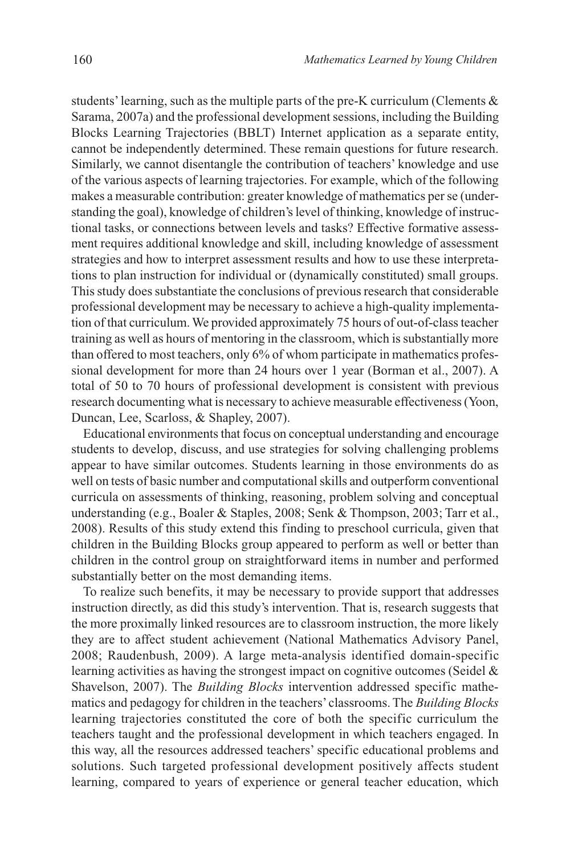students' learning, such as the multiple parts of the pre-K curriculum (Clements & Sarama, 2007a) and the professional development sessions, including the Building Blocks Learning Trajectories (BBLT) Internet application as a separate entity, cannot be independently determined. These remain questions for future research. Similarly, we cannot disentangle the contribution of teachers' knowledge and use of the various aspects of learning trajectories. For example, which of the following makes a measurable contribution: greater knowledge of mathematics per se (understanding the goal), knowledge of children's level of thinking, knowledge of instructional tasks, or connections between levels and tasks? Effective formative assessment requires additional knowledge and skill, including knowledge of assessment strategies and how to interpret assessment results and how to use these interpretations to plan instruction for individual or (dynamically constituted) small groups. This study does substantiate the conclusions of previous research that considerable professional development may be necessary to achieve a high-quality implementation of that curriculum. We provided approximately 75 hours of out-of-class teacher training as well as hours of mentoring in the classroom, which is substantially more than offered to most teachers, only 6% of whom participate in mathematics professional development for more than 24 hours over 1 year (Borman et al., 2007). A total of 50 to 70 hours of professional development is consistent with previous research documenting what is necessary to achieve measurable effectiveness (Yoon, Duncan, Lee, Scarloss, & Shapley, 2007).

Educational environments that focus on conceptual understanding and encourage students to develop, discuss, and use strategies for solving challenging problems appear to have similar outcomes. Students learning in those environments do as well on tests of basic number and computational skills and outperform conventional curricula on assessments of thinking, reasoning, problem solving and conceptual understanding (e.g., Boaler & Staples, 2008; Senk & Thompson, 2003; Tarr et al., 2008). Results of this study extend this finding to preschool curricula, given that children in the Building Blocks group appeared to perform as well or better than children in the control group on straightforward items in number and performed substantially better on the most demanding items.

To realize such benefits, it may be necessary to provide support that addresses instruction directly, as did this study's intervention. That is, research suggests that the more proximally linked resources are to classroom instruction, the more likely they are to affect student achievement (National Mathematics Advisory Panel, 2008; Raudenbush, 2009). A large meta-analysis identified domain-specific learning activities as having the strongest impact on cognitive outcomes (Seidel & Shavelson, 2007). The *Building Blocks* intervention addressed specific mathematics and pedagogy for children in the teachers' classrooms. The *Building Blocks* learning trajectories constituted the core of both the specific curriculum the teachers taught and the professional development in which teachers engaged. In this way, all the resources addressed teachers' specific educational problems and solutions. Such targeted professional development positively affects student learning, compared to years of experience or general teacher education, which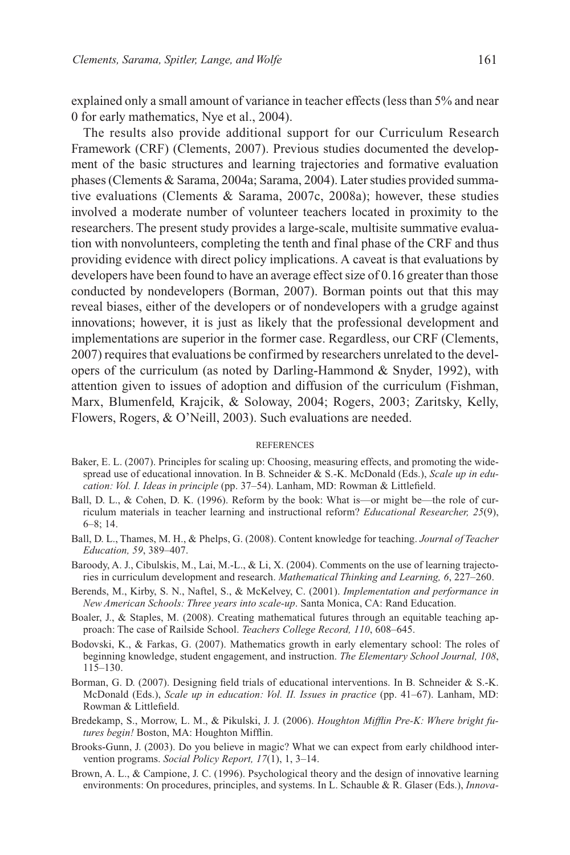explained only a small amount of variance in teacher effects (less than 5% and near 0 for early mathematics, Nye et al., 2004).

The results also provide additional support for our Curriculum Research Framework (CRF) (Clements, 2007). Previous studies documented the development of the basic structures and learning trajectories and formative evaluation phases (Clements & Sarama, 2004a; Sarama, 2004). Later studies provided summative evaluations (Clements & Sarama, 2007c, 2008a); however, these studies involved a moderate number of volunteer teachers located in proximity to the researchers. The present study provides a large-scale, multisite summative evaluation with nonvolunteers, completing the tenth and final phase of the CRF and thus providing evidence with direct policy implications. A caveat is that evaluations by developers have been found to have an average effect size of 0.16 greater than those conducted by nondevelopers (Borman, 2007). Borman points out that this may reveal biases, either of the developers or of nondevelopers with a grudge against innovations; however, it is just as likely that the professional development and implementations are superior in the former case. Regardless, our CRF (Clements, 2007) requires that evaluations be confirmed by researchers unrelated to the developers of the curriculum (as noted by Darling-Hammond & Snyder, 1992), with attention given to issues of adoption and diffusion of the curriculum (Fishman, Marx, Blumenfeld, Krajcik, & Soloway, 2004; Rogers, 2003; Zaritsky, Kelly, Flowers, Rogers, & O'Neill, 2003). Such evaluations are needed.

#### **REFERENCES**

- Baker, E. L. (2007). Principles for scaling up: Choosing, measuring effects, and promoting the widespread use of educational innovation. In B. Schneider & S.-K. McDonald (Eds.), *Scale up in education: Vol. I. Ideas in principle* (pp. 37–54). Lanham, MD: Rowman & Littlefield.
- Ball, D. L., & Cohen, D. K. (1996). Reform by the book: What is—or might be—the role of curriculum materials in teacher learning and instructional reform? *Educational Researcher, 25*(9), 6–8; 14.
- Ball, D. L., Thames, M. H., & Phelps, G. (2008). Content knowledge for teaching. *Journal of Teacher Education, 59*, 389–407.
- Baroody, A. J., Cibulskis, M., Lai, M.-L., & Li, X. (2004). Comments on the use of learning trajectories in curriculum development and research. *Mathematical Thinking and Learning, 6*, 227–260.
- Berends, M., Kirby, S. N., Naftel, S., & McKelvey, C. (2001). *Implementation and performance in New American Schools: Three years into scale-up*. Santa Monica, CA: Rand Education.
- Boaler, J., & Staples, M. (2008). Creating mathematical futures through an equitable teaching approach: The case of Railside School. *Teachers College Record, 110*, 608–645.
- Bodovski, K., & Farkas, G. (2007). Mathematics growth in early elementary school: The roles of beginning knowledge, student engagement, and instruction. *The Elementary School Journal, 108*,  $115 - 130.$
- Borman, G. D. (2007). Designing field trials of educational interventions. In B. Schneider & S.-K. McDonald (Eds.), *Scale up in education: Vol. II. Issues in practice* (pp. 41–67). Lanham, MD: Rowman & Littlefield.
- Bredekamp, S., Morrow, L. M., & Pikulski, J. J. (2006). *Houghton Mifflin Pre-K: Where bright futures begin!* Boston, MA: Houghton Mifflin.
- Brooks-Gunn, J. (2003). Do you believe in magic? What we can expect from early childhood intervention programs. *Social Policy Report, 17*(1), 1, 3–14.
- Brown, A. L., & Campione, J. C. (1996). Psychological theory and the design of innovative learning environments: On procedures, principles, and systems. In L. Schauble & R. Glaser (Eds.), *Innova-*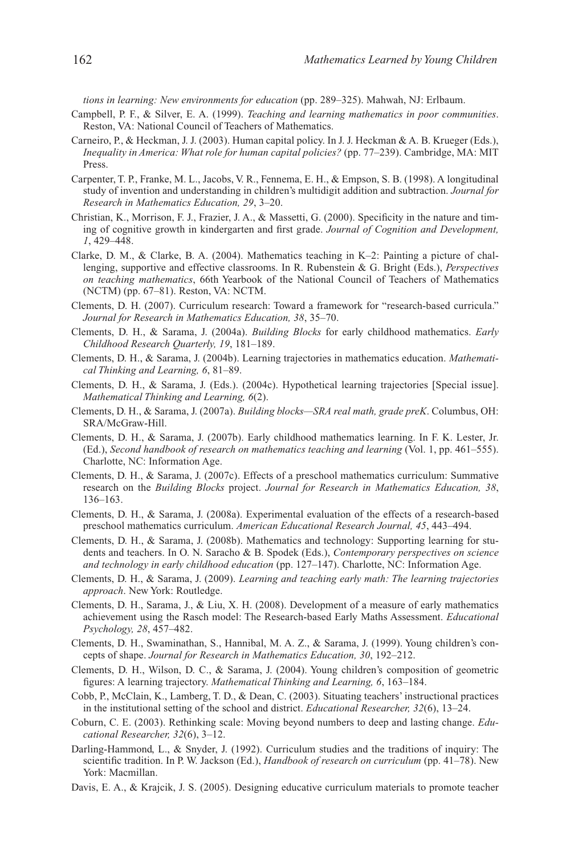*tions in learning: New environments for education* (pp. 289–325). Mahwah, NJ: Erlbaum.

- Campbell, P. F., & Silver, E. A. (1999). *Teaching and learning mathematics in poor communities*. Reston, VA: National Council of Teachers of Mathematics.
- Carneiro, P., & Heckman, J. J. (2003). Human capital policy. In J. J. Heckman & A. B. Krueger (Eds.), *Inequality in America: What role for human capital policies?* (pp. 77–239). Cambridge, MA: MIT Press.
- Carpenter, T. P., Franke, M. L., Jacobs, V. R., Fennema, E. H., & Empson, S. B. (1998). A longitudinal study of invention and understanding in children's multidigit addition and subtraction. *Journal for Research in Mathematics Education, 29*, 3–20.
- Christian, K., Morrison, F. J., Frazier, J. A., & Massetti, G. (2000). Specificity in the nature and timing of cognitive growth in kindergarten and first grade. *Journal of Cognition and Development, 1*, 429–448.
- Clarke, D. M., & Clarke, B. A. (2004). Mathematics teaching in K–2: Painting a picture of challenging, supportive and effective classrooms. In R. Rubenstein & G. Bright (Eds.), *Perspectives on teaching mathematics*, 66th Yearbook of the National Council of Teachers of Mathematics (NCTM) (pp. 67–81). Reston, VA: NCTM.
- Clements, D. H. (2007). Curriculum research: Toward a framework for "research-based curricula." *Journal for Research in Mathematics Education, 38*, 35–70.
- Clements, D. H., & Sarama, J. (2004a). *Building Blocks* for early childhood mathematics. *Early Childhood Research Quarterly, 19*, 181–189.
- Clements, D. H., & Sarama, J. (2004b). Learning trajectories in mathematics education. *Mathematical Thinking and Learning, 6*, 81–89.
- Clements, D. H., & Sarama, J. (Eds.). (2004c). Hypothetical learning trajectories [Special issue]. *Mathematical Thinking and Learning, 6*(2).
- Clements, D. H., & Sarama, J. (2007a). *Building blocks—SRA real math, grade preK*. Columbus, OH: SRA/McGraw-Hill.
- Clements, D. H., & Sarama, J. (2007b). Early childhood mathematics learning. In F. K. Lester, Jr. (Ed.), *Second handbook of research on mathematics teaching and learning* (Vol. 1, pp. 461–555). Charlotte, NC: Information Age.
- Clements, D. H., & Sarama, J. (2007c). Effects of a preschool mathematics curriculum: Summative research on the *Building Blocks* project. *Journal for Research in Mathematics Education, 38*, 136–163.
- Clements, D. H., & Sarama, J. (2008a). Experimental evaluation of the effects of a research-based preschool mathematics curriculum. *American Educational Research Journal, 45*, 443–494.
- Clements, D. H., & Sarama, J. (2008b). Mathematics and technology: Supporting learning for students and teachers. In O. N. Saracho & B. Spodek (Eds.), *Contemporary perspectives on science and technology in early childhood education* (pp. 127–147). Charlotte, NC: Information Age.
- Clements, D. H., & Sarama, J. (2009). *Learning and teaching early math: The learning trajectories approach*. New York: Routledge.
- Clements, D. H., Sarama, J., & Liu, X. H. (2008). Development of a measure of early mathematics achievement using the Rasch model: The Research-based Early Maths Assessment. *Educational Psychology, 28*, 457–482.
- Clements, D. H., Swaminathan, S., Hannibal, M. A. Z., & Sarama, J. (1999). Young children's concepts of shape. *Journal for Research in Mathematics Education, 30*, 192–212.
- Clements, D. H., Wilson, D. C., & Sarama, J. (2004). Young children's composition of geometric figures: A learning trajectory. *Mathematical Thinking and Learning, 6*, 163–184.
- Cobb, P., McClain, K., Lamberg, T. D., & Dean, C. (2003). Situating teachers' instructional practices in the institutional setting of the school and district. *Educational Researcher, 32*(6), 13–24.
- Coburn, C. E. (2003). Rethinking scale: Moving beyond numbers to deep and lasting change. *Educational Researcher, 32*(6), 3–12.
- Darling-Hammond, L., & Snyder, J. (1992). Curriculum studies and the traditions of inquiry: The scientific tradition. In P. W. Jackson (Ed.), *Handbook of research on curriculum* (pp. 41–78). New York: Macmillan.
- Davis, E. A., & Krajcik, J. S. (2005). Designing educative curriculum materials to promote teacher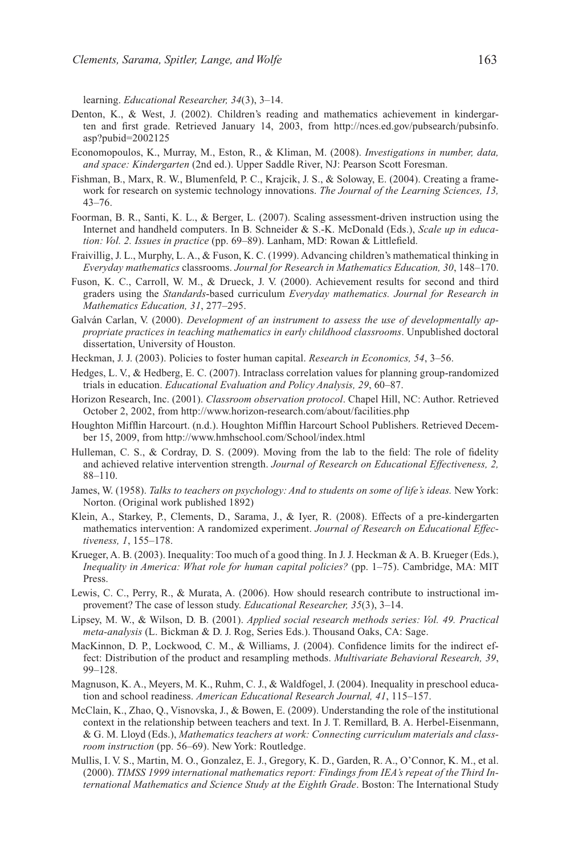learning. *Educational Researcher, 34*(3), 3–14.

- Denton, K., & West, J. (2002). Children's reading and mathematics achievement in kindergarten and first grade. Retrieved January 14, 2003, from http://nces.ed.gov/pubsearch/pubsinfo. asp?pubid=2002125
- Economopoulos, K., Murray, M., Eston, R., & Kliman, M. (2008). *Investigations in number, data, and space: Kindergarten* (2nd ed.). Upper Saddle River, NJ: Pearson Scott Foresman.
- Fishman, B., Marx, R. W., Blumenfeld, P. C., Krajcik, J. S., & Soloway, E. (2004). Creating a framework for research on systemic technology innovations. *The Journal of the Learning Sciences, 13,*  43–76.
- Foorman, B. R., Santi, K. L., & Berger, L. (2007). Scaling assessment-driven instruction using the Internet and handheld computers. In B. Schneider & S.-K. McDonald (Eds.), *Scale up in education: Vol. 2. Issues in practice* (pp. 69–89). Lanham, MD: Rowan & Littlefield.
- Fraivillig, J. L., Murphy, L. A., & Fuson, K. C. (1999). Advancing children's mathematical thinking in *Everyday mathematics* classrooms. *Journal for Research in Mathematics Education, 30*, 148–170.
- Fuson, K. C., Carroll, W. M., & Drueck, J. V. (2000). Achievement results for second and third graders using the *Standards*-based curriculum *Everyday mathematics. Journal for Research in Mathematics Education, 31*, 277–295.
- Galván Carlan, V. (2000). *Development of an instrument to assess the use of developmentally appropriate practices in teaching mathematics in early childhood classrooms*. Unpublished doctoral dissertation, University of Houston.
- Heckman, J. J. (2003). Policies to foster human capital. *Research in Economics, 54*, 3–56.
- Hedges, L. V., & Hedberg, E. C. (2007). Intraclass correlation values for planning group-randomized trials in education. *Educational Evaluation and Policy Analysis, 29*, 60–87.
- Horizon Research, Inc. (2001). *Classroom observation protocol*. Chapel Hill, NC: Author. Retrieved October 2, 2002, from http://www.horizon-research.com/about/facilities.php
- Houghton Mifflin Harcourt. (n.d.). Houghton Mifflin Harcourt School Publishers. Retrieved December 15, 2009, from http://www.hmhschool.com/School/index.html
- Hulleman, C. S., & Cordray, D. S. (2009). Moving from the lab to the field: The role of fidelity and achieved relative intervention strength. *Journal of Research on Educational Effectiveness, 2,* 88–110.
- James, W. (1958). *Talks to teachers on psychology: And to students on some of life's ideas.* New York: Norton. (Original work published 1892)
- Klein, A., Starkey, P., Clements, D., Sarama, J., & Iyer, R. (2008). Effects of a pre-kindergarten mathematics intervention: A randomized experiment. *Journal of Research on Educational Effectiveness, 1*, 155–178.
- Krueger, A. B. (2003). Inequality: Too much of a good thing. In J. J. Heckman & A. B. Krueger (Eds.), *Inequality in America: What role for human capital policies?* (pp. 1–75). Cambridge, MA: MIT Press.
- Lewis, C. C., Perry, R., & Murata, A. (2006). How should research contribute to instructional improvement? The case of lesson study. *Educational Researcher, 35*(3), 3–14.
- Lipsey, M. W., & Wilson, D. B. (2001). *Applied social research methods series: Vol. 49. Practical meta-analysis* (L. Bickman & D. J. Rog, Series Eds.). Thousand Oaks, CA: Sage.
- MacKinnon, D. P., Lockwood, C. M., & Williams, J. (2004). Confidence limits for the indirect effect: Distribution of the product and resampling methods. *Multivariate Behavioral Research, 39*, 99–128.
- Magnuson, K. A., Meyers, M. K., Ruhm, C. J., & Waldfogel, J. (2004). Inequality in preschool education and school readiness. *American Educational Research Journal, 41*, 115–157.
- McClain, K., Zhao, Q., Visnovska, J., & Bowen, E. (2009). Understanding the role of the institutional context in the relationship between teachers and text. In J. T. Remillard, B. A. Herbel-Eisenmann, & G. M. Lloyd (Eds.), *Mathematics teachers at work: Connecting curriculum materials and classroom instruction* (pp. 56–69). New York: Routledge.
- Mullis, I. V. S., Martin, M. O., Gonzalez, E. J., Gregory, K. D., Garden, R. A., O'Connor, K. M., et al. (2000). *TIMSS 1999 international mathematics report: Findings from IEA's repeat of the Third International Mathematics and Science Study at the Eighth Grade*. Boston: The International Study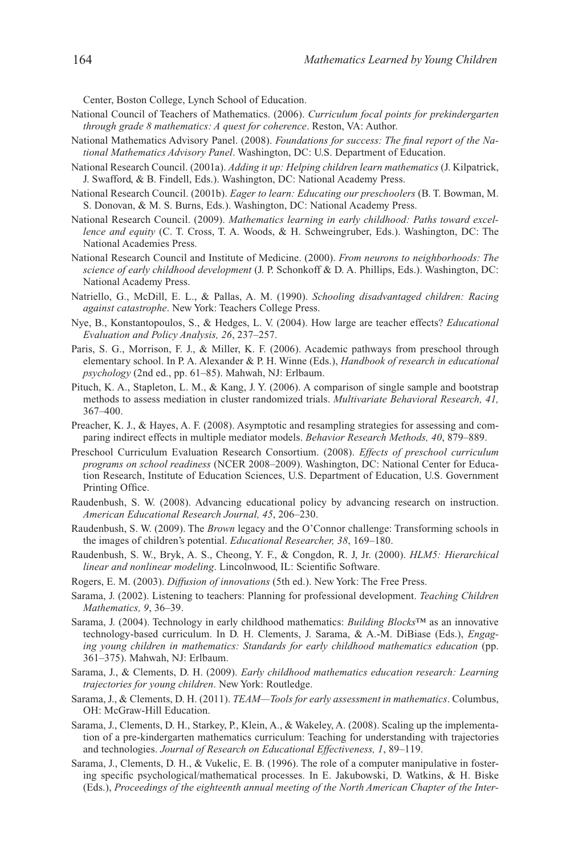Center, Boston College, Lynch School of Education.

- National Council of Teachers of Mathematics. (2006). *Curriculum focal points for prekindergarten through grade 8 mathematics: A quest for coherence*. Reston, VA: Author.
- National Mathematics Advisory Panel. (2008). *Foundations for success: The final report of the National Mathematics Advisory Panel*. Washington, DC: U.S. Department of Education.
- National Research Council. (2001a). *Adding it up: Helping children learn mathematics* (J. Kilpatrick, J. Swafford, & B. Findell, Eds.). Washington, DC: National Academy Press.
- National Research Council. (2001b). *Eager to learn: Educating our preschoolers* (B. T. Bowman, M. S. Donovan, & M. S. Burns, Eds.). Washington, DC: National Academy Press.
- National Research Council. (2009). *Mathematics learning in early childhood: Paths toward excellence and equity* (C. T. Cross, T. A. Woods, & H. Schweingruber, Eds.). Washington, DC: The National Academies Press.
- National Research Council and Institute of Medicine. (2000). *From neurons to neighborhoods: The science of early childhood development* (J. P. Schonkoff & D. A. Phillips, Eds.). Washington, DC: National Academy Press.
- Natriello, G., McDill, E. L., & Pallas, A. M. (1990). *Schooling disadvantaged children: Racing against catastrophe*. New York: Teachers College Press.
- Nye, B., Konstantopoulos, S., & Hedges, L. V. (2004). How large are teacher effects? *Educational Evaluation and Policy Analysis, 26*, 237–257.
- Paris, S. G., Morrison, F. J., & Miller, K. F. (2006). Academic pathways from preschool through elementary school. In P. A. Alexander & P. H. Winne (Eds.), *Handbook of research in educational psychology* (2nd ed., pp. 61–85). Mahwah, NJ: Erlbaum.
- Pituch, K. A., Stapleton, L. M., & Kang, J. Y. (2006). A comparison of single sample and bootstrap methods to assess mediation in cluster randomized trials. *Multivariate Behavioral Research, 41,*  367–400.
- Preacher, K. J., & Hayes, A. F. (2008). Asymptotic and resampling strategies for assessing and comparing indirect effects in multiple mediator models. *Behavior Research Methods, 40*, 879–889.
- Preschool Curriculum Evaluation Research Consortium. (2008). *Effects of preschool curriculum programs on school readiness* (NCER 2008–2009). Washington, DC: National Center for Education Research, Institute of Education Sciences, U.S. Department of Education, U.S. Government Printing Office.
- Raudenbush, S. W. (2008). Advancing educational policy by advancing research on instruction. *American Educational Research Journal, 45*, 206–230.
- Raudenbush, S. W. (2009). The *Brown* legacy and the O'Connor challenge: Transforming schools in the images of children's potential. *Educational Researcher, 38*, 169–180.
- Raudenbush, S. W., Bryk, A. S., Cheong, Y. F., & Congdon, R. J, Jr. (2000). *HLM5: Hierarchical linear and nonlinear modeling*. Lincolnwood, IL: Scientific Software.
- Rogers, E. M. (2003). *Diffusion of innovations* (5th ed.). New York: The Free Press.
- Sarama, J. (2002). Listening to teachers: Planning for professional development. *Teaching Children Mathematics, 9*, 36–39.
- Sarama, J. (2004). Technology in early childhood mathematics: *Building Blocks*™ as an innovative technology-based curriculum. In D. H. Clements, J. Sarama, & A.-M. DiBiase (Eds.), *Engaging young children in mathematics: Standards for early childhood mathematics education* (pp. 361–375). Mahwah, NJ: Erlbaum.
- Sarama, J., & Clements, D. H. (2009). *Early childhood mathematics education research: Learning trajectories for young children*. New York: Routledge.
- Sarama, J., & Clements, D. H. (2011). *TEAM—Tools for early assessment in mathematics*. Columbus, OH: McGraw-Hill Education.
- Sarama, J., Clements, D. H., Starkey, P., Klein, A., & Wakeley, A. (2008). Scaling up the implementation of a pre-kindergarten mathematics curriculum: Teaching for understanding with trajectories and technologies. *Journal of Research on Educational Effectiveness, 1*, 89–119.
- Sarama, J., Clements, D. H., & Vukelic, E. B. (1996). The role of a computer manipulative in fostering specific psychological/mathematical processes. In E. Jakubowski, D. Watkins, & H. Biske (Eds.), *Proceedings of the eighteenth annual meeting of the North American Chapter of the Inter-*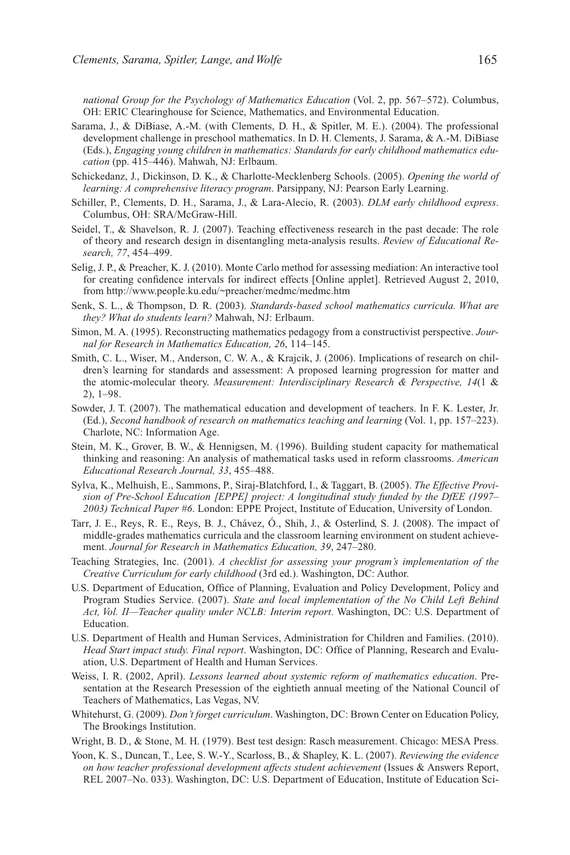*national Group for the Psychology of Mathematics Education* (Vol. 2, pp. 567–572). Columbus, OH: ERIC Clearinghouse for Science, Mathematics, and Environmental Education.

- Sarama, J., & DiBiase, A.-M. (with Clements, D. H., & Spitler, M. E.). (2004). The professional development challenge in preschool mathematics. In D. H. Clements, J. Sarama, & A.-M. DiBiase (Eds.), *Engaging young children in mathematics: Standards for early childhood mathematics education* (pp. 415–446). Mahwah, NJ: Erlbaum.
- Schickedanz, J., Dickinson, D. K., & Charlotte-Mecklenberg Schools. (2005). *Opening the world of learning: A comprehensive literacy program*. Parsippany, NJ: Pearson Early Learning.
- Schiller, P., Clements, D. H., Sarama, J., & Lara-Alecio, R. (2003). *DLM early childhood express*. Columbus, OH: SRA/McGraw-Hill.
- Seidel, T., & Shavelson, R. J. (2007). Teaching effectiveness research in the past decade: The role of theory and research design in disentangling meta-analysis results. *Review of Educational Research, 77*, 454–499.
- Selig, J. P., & Preacher, K. J. (2010). Monte Carlo method for assessing mediation: An interactive tool for creating confidence intervals for indirect effects [Online applet]. Retrieved August 2, 2010, from http://www.people.ku.edu/~preacher/medmc/medmc.htm
- Senk, S. L., & Thompson, D. R. (2003). *Standards-based school mathematics curricula. What are they? What do students learn?* Mahwah, NJ: Erlbaum.
- Simon, M. A. (1995). Reconstructing mathematics pedagogy from a constructivist perspective. *Journal for Research in Mathematics Education, 26*, 114–145.
- Smith, C. L., Wiser, M., Anderson, C. W. A., & Krajcik, J. (2006). Implications of research on children's learning for standards and assessment: A proposed learning progression for matter and the atomic-molecular theory. *Measurement: Interdisciplinary Research & Perspective, 14*(1 & 2), 1–98.
- Sowder, J. T. (2007). The mathematical education and development of teachers. In F. K. Lester, Jr. (Ed.), *Second handbook of research on mathematics teaching and learning* (Vol. 1, pp. 157–223). Charlote, NC: Information Age.
- Stein, M. K., Grover, B. W., & Hennigsen, M. (1996). Building student capacity for mathematical thinking and reasoning: An analysis of mathematical tasks used in reform classrooms. *American Educational Research Journal, 33*, 455–488.
- Sylva, K., Melhuish, E., Sammons, P., Siraj-Blatchford, I., & Taggart, B. (2005). *The Effective Provision of Pre-School Education [EPPE] project: A longitudinal study funded by the DfEE (1997– 2003) Technical Paper #6*. London: EPPE Project, Institute of Education, University of London.
- Tarr, J. E., Reys, R. E., Reys, B. J., Chávez, Ó., Shih, J., & Osterlind, S. J. (2008). The impact of middle-grades mathematics curricula and the classroom learning environment on student achievement. *Journal for Research in Mathematics Education, 39*, 247–280.
- Teaching Strategies, Inc. (2001). *A checklist for assessing your program's implementation of the Creative Curriculum for early childhood* (3rd ed.). Washington, DC: Author.
- U.S. Department of Education, Office of Planning, Evaluation and Policy Development, Policy and Program Studies Service. (2007). *State and local implementation of the No Child Left Behind Act, Vol. II—Teacher quality under NCLB: Interim report*. Washington, DC: U.S. Department of Education.
- U.S. Department of Health and Human Services, Administration for Children and Families. (2010). *Head Start impact study. Final report*. Washington, DC: Office of Planning, Research and Evaluation, U.S. Department of Health and Human Services.
- Weiss, I. R. (2002, April). *Lessons learned about systemic reform of mathematics education*. Presentation at the Research Presession of the eightieth annual meeting of the National Council of Teachers of Mathematics, Las Vegas, NV.
- Whitehurst, G. (2009). *Don't forget curriculum*. Washington, DC: Brown Center on Education Policy, The Brookings Institution.
- Wright, B. D., & Stone, M. H. (1979). Best test design: Rasch measurement. Chicago: MESA Press.
- Yoon, K. S., Duncan, T., Lee, S. W.-Y., Scarloss, B., & Shapley, K. L. (2007). *Reviewing the evidence on how teacher professional development affects student achievement* (Issues & Answers Report, REL 2007–No. 033). Washington, DC: U.S. Department of Education, Institute of Education Sci-